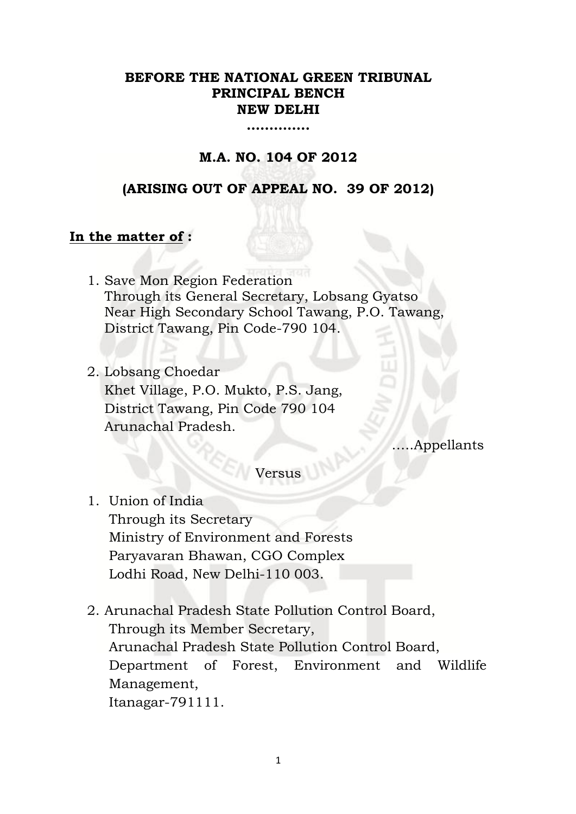# **BEFORE THE NATIONAL GREEN TRIBUNAL PRINCIPAL BENCH NEW DELHI**

**…………..**

# **M.A. NO. 104 OF 2012**

# **(ARISING OUT OF APPEAL NO. 39 OF 2012)**

# **In the matter of :**

- 1. Save Mon Region Federation Through its General Secretary, Lobsang Gyatso Near High Secondary School Tawang, P.O. Tawang, District Tawang, Pin Code-790 104.
- 2. Lobsang Choedar Khet Village, P.O. Mukto, P.S. Jang, District Tawang, Pin Code 790 104 Arunachal Pradesh.

…..Appellants

# Versus

- 1. Union of India Through its Secretary Ministry of Environment and Forests Paryavaran Bhawan, CGO Complex Lodhi Road, New Delhi-110 003.
- 2. Arunachal Pradesh State Pollution Control Board, Through its Member Secretary, Arunachal Pradesh State Pollution Control Board, Department of Forest, Environment and Wildlife Management, Itanagar-791111.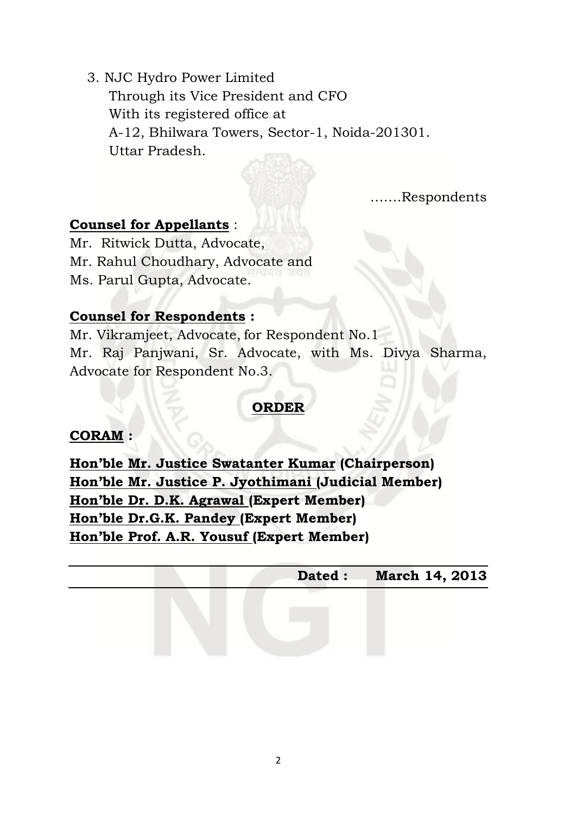3. NJC Hydro Power Limited

Through its Vice President and CFO With its registered office at A-12, Bhilwara Towers, Sector-1, Noida-201301. Uttar Pradesh.

…….Respondents

# **Counsel for Appellants** :

Mr. Ritwick Dutta, Advocate, Mr. Rahul Choudhary, Advocate and Ms. Parul Gupta, Advocate.

# **Counsel for Respondents :**

Mr. Vikramjeet, Advocate, for Respondent No.1 Mr. Raj Panjwani, Sr. Advocate, with Ms. Divya Sharma, Advocate for Respondent No.3.

# **ORDER**

# **CORAM :**

**Hon'ble Mr. Justice Swatanter Kumar (Chairperson) Hon'ble Mr. Justice P. Jyothimani (Judicial Member) Hon'ble Dr. D.K. Agrawal (Expert Member) Hon'ble Dr.G.K. Pandey (Expert Member) Hon'ble Prof. A.R. Yousuf (Expert Member)**

|  | Dated: March 14, 2013 |
|--|-----------------------|
|  |                       |
|  |                       |
|  |                       |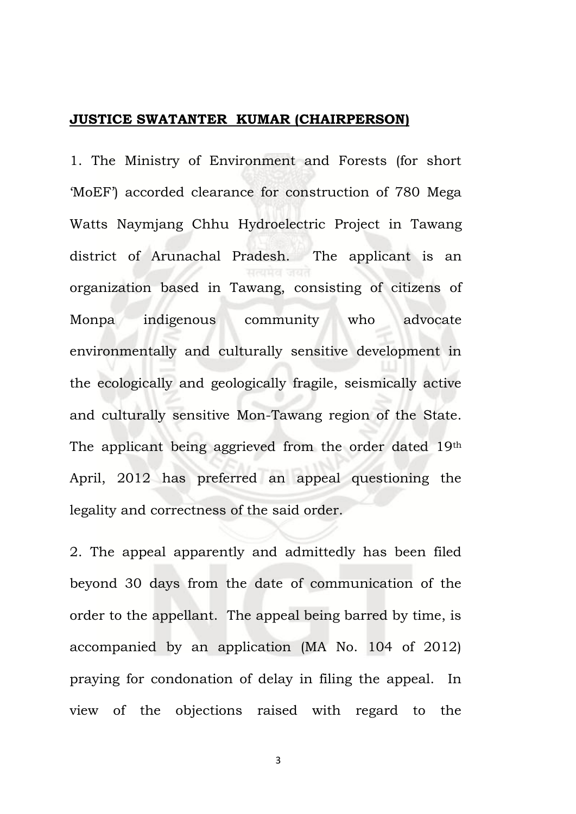#### **JUSTICE SWATANTER KUMAR (CHAIRPERSON)**

1. The Ministry of Environment and Forests (for short 'MoEF') accorded clearance for construction of 780 Mega Watts Naymjang Chhu Hydroelectric Project in Tawang district of Arunachal Pradesh. The applicant is an organization based in Tawang, consisting of citizens of Monpa indigenous community who advocate environmentally and culturally sensitive development in the ecologically and geologically fragile, seismically active and culturally sensitive Mon-Tawang region of the State. The applicant being aggrieved from the order dated 19th April, 2012 has preferred an appeal questioning the legality and correctness of the said order.

2. The appeal apparently and admittedly has been filed beyond 30 days from the date of communication of the order to the appellant. The appeal being barred by time, is accompanied by an application (MA No. 104 of 2012) praying for condonation of delay in filing the appeal. In view of the objections raised with regard to the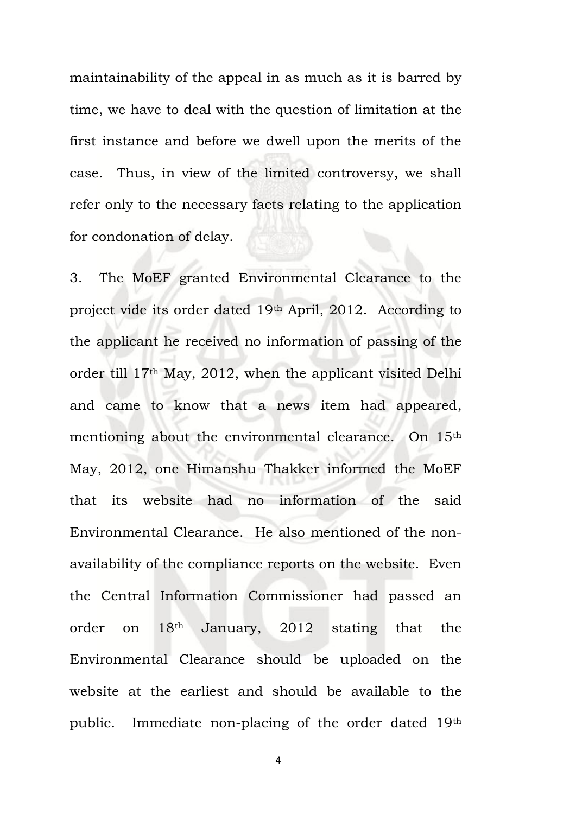maintainability of the appeal in as much as it is barred by time, we have to deal with the question of limitation at the first instance and before we dwell upon the merits of the case. Thus, in view of the limited controversy, we shall refer only to the necessary facts relating to the application for condonation of delay.

3. The MoEF granted Environmental Clearance to the project vide its order dated 19th April, 2012. According to the applicant he received no information of passing of the order till 17th May, 2012, when the applicant visited Delhi and came to know that a news item had appeared, mentioning about the environmental clearance. On 15th May, 2012, one Himanshu Thakker informed the MoEF that its website had no information of the said Environmental Clearance. He also mentioned of the nonavailability of the compliance reports on the website. Even the Central Information Commissioner had passed an order on 18th January, 2012 stating that the Environmental Clearance should be uploaded on the website at the earliest and should be available to the public. Immediate non-placing of the order dated 19th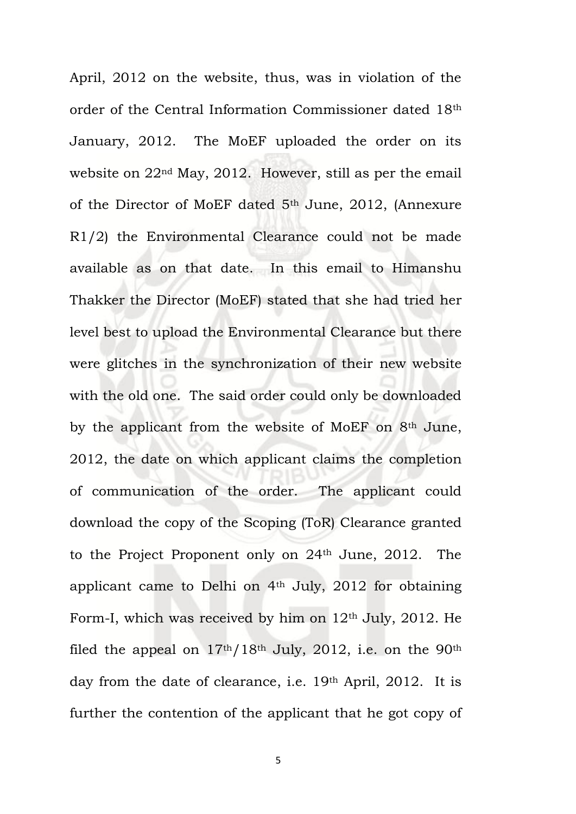April, 2012 on the website, thus, was in violation of the order of the Central Information Commissioner dated 18th January, 2012. The MoEF uploaded the order on its website on 22nd May, 2012. However, still as per the email of the Director of MoEF dated 5th June, 2012, (Annexure R1/2) the Environmental Clearance could not be made available as on that date. In this email to Himanshu Thakker the Director (MoEF) stated that she had tried her level best to upload the Environmental Clearance but there were glitches in the synchronization of their new website with the old one. The said order could only be downloaded by the applicant from the website of MoEF on  $8<sup>th</sup>$  June, 2012, the date on which applicant claims the completion of communication of the order. The applicant could download the copy of the Scoping (ToR) Clearance granted to the Project Proponent only on 24th June, 2012. The applicant came to Delhi on 4th July, 2012 for obtaining Form-I, which was received by him on  $12<sup>th</sup>$  July, 2012. He filed the appeal on 17th/18th July, 2012, i.e. on the 90th day from the date of clearance, i.e. 19th April, 2012. It is further the contention of the applicant that he got copy of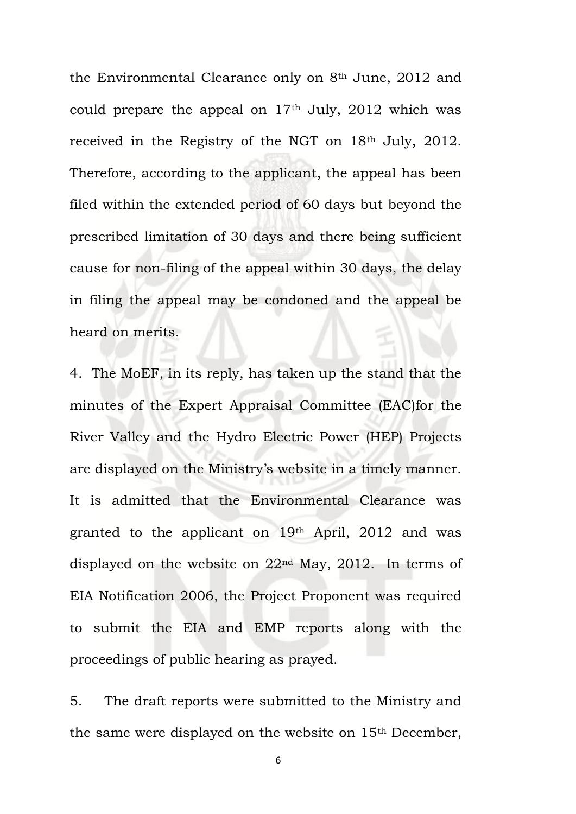the Environmental Clearance only on 8th June, 2012 and could prepare the appeal on  $17<sup>th</sup>$  July, 2012 which was received in the Registry of the NGT on 18th July, 2012. Therefore, according to the applicant, the appeal has been filed within the extended period of 60 days but beyond the prescribed limitation of 30 days and there being sufficient cause for non-filing of the appeal within 30 days, the delay in filing the appeal may be condoned and the appeal be heard on merits.

4. The MoEF, in its reply, has taken up the stand that the minutes of the Expert Appraisal Committee (EAC)for the River Valley and the Hydro Electric Power (HEP) Projects are displayed on the Ministry's website in a timely manner. It is admitted that the Environmental Clearance was granted to the applicant on 19th April, 2012 and was displayed on the website on 22nd May, 2012. In terms of EIA Notification 2006, the Project Proponent was required to submit the EIA and EMP reports along with the proceedings of public hearing as prayed.

5. The draft reports were submitted to the Ministry and the same were displayed on the website on 15th December,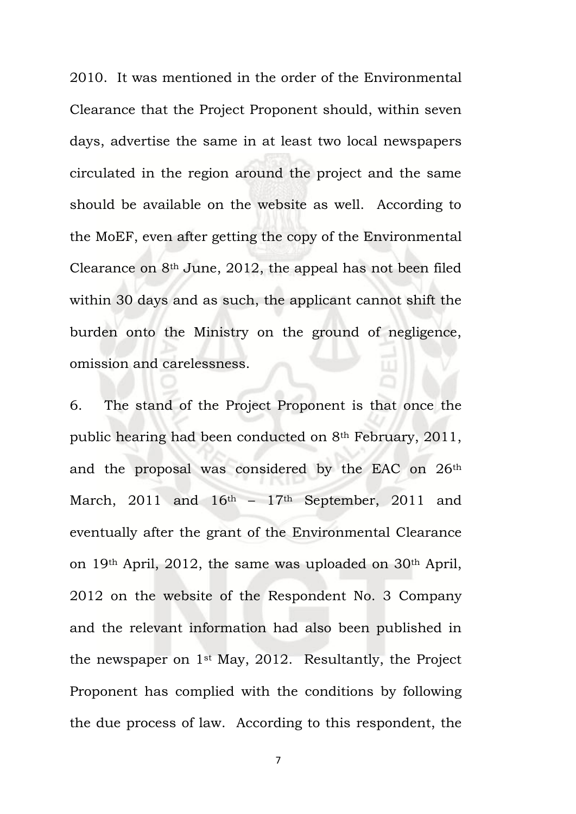2010. It was mentioned in the order of the Environmental Clearance that the Project Proponent should, within seven days, advertise the same in at least two local newspapers circulated in the region around the project and the same should be available on the website as well. According to the MoEF, even after getting the copy of the Environmental Clearance on 8th June, 2012, the appeal has not been filed within 30 days and as such, the applicant cannot shift the burden onto the Ministry on the ground of negligence, omission and carelessness.

6. The stand of the Project Proponent is that once the public hearing had been conducted on 8th February, 2011, and the proposal was considered by the EAC on 26th March, 2011 and  $16<sup>th</sup> - 17<sup>th</sup>$  September, 2011 and eventually after the grant of the Environmental Clearance on 19th April, 2012, the same was uploaded on 30th April, 2012 on the website of the Respondent No. 3 Company and the relevant information had also been published in the newspaper on 1st May, 2012. Resultantly, the Project Proponent has complied with the conditions by following the due process of law. According to this respondent, the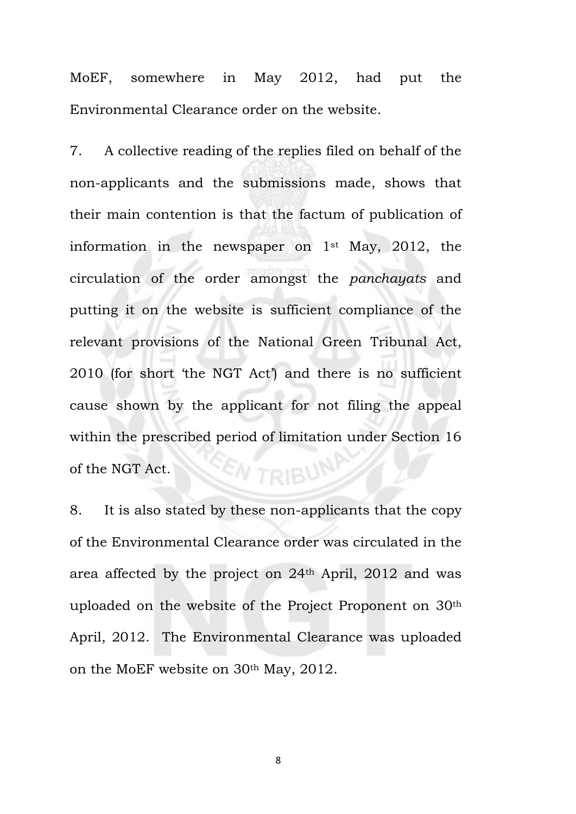MoEF, somewhere in May 2012, had put the Environmental Clearance order on the website.

7. A collective reading of the replies filed on behalf of the non-applicants and the submissions made, shows that their main contention is that the factum of publication of information in the newspaper on 1st May, 2012, the circulation of the order amongst the *panchayats* and putting it on the website is sufficient compliance of the relevant provisions of the National Green Tribunal Act, 2010 (for short 'the NGT Act') and there is no sufficient cause shown by the applicant for not filing the appeal within the prescribed period of limitation under Section 16 *EN TRIBUN* of the NGT Act.

8. It is also stated by these non-applicants that the copy of the Environmental Clearance order was circulated in the area affected by the project on 24th April, 2012 and was uploaded on the website of the Project Proponent on 30th April, 2012. The Environmental Clearance was uploaded on the MoEF website on 30th May, 2012.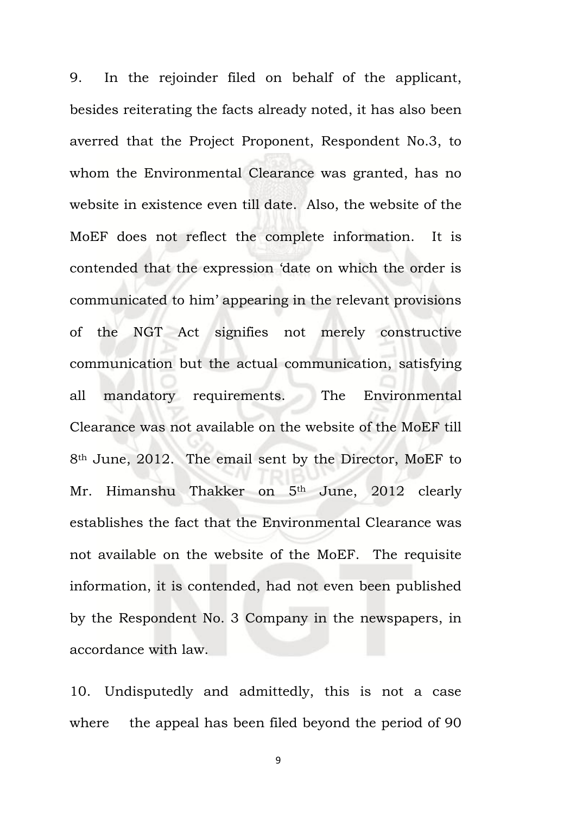9. In the rejoinder filed on behalf of the applicant, besides reiterating the facts already noted, it has also been averred that the Project Proponent, Respondent No.3, to whom the Environmental Clearance was granted, has no website in existence even till date. Also, the website of the MoEF does not reflect the complete information. It is contended that the expression 'date on which the order is communicated to him' appearing in the relevant provisions of the NGT Act signifies not merely constructive communication but the actual communication, satisfying all mandatory requirements. The Environmental Clearance was not available on the website of the MoEF till 8th June, 2012. The email sent by the Director, MoEF to Mr. Himanshu Thakker on 5<sup>th</sup> June, 2012 clearly establishes the fact that the Environmental Clearance was not available on the website of the MoEF. The requisite information, it is contended, had not even been published by the Respondent No. 3 Company in the newspapers, in accordance with law.

10. Undisputedly and admittedly, this is not a case where the appeal has been filed beyond the period of 90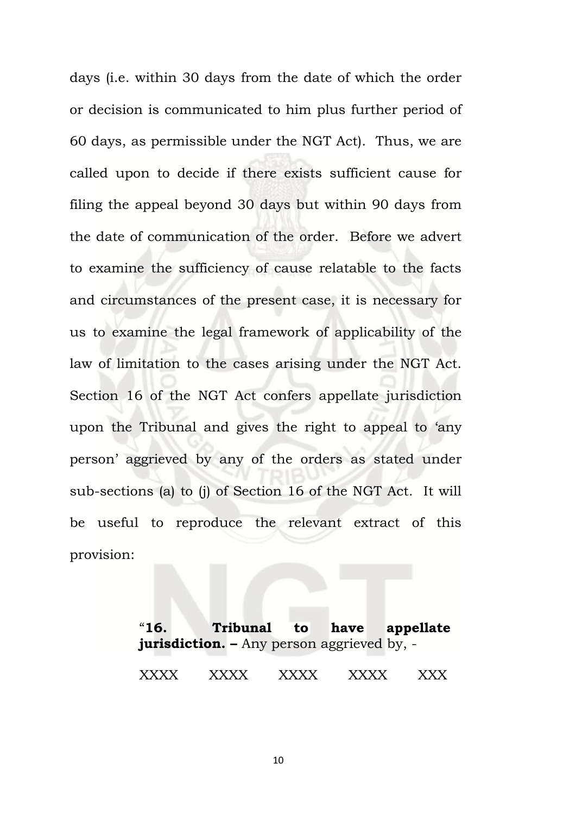days (i.e. within 30 days from the date of which the order or decision is communicated to him plus further period of 60 days, as permissible under the NGT Act). Thus, we are called upon to decide if there exists sufficient cause for filing the appeal beyond 30 days but within 90 days from the date of communication of the order. Before we advert to examine the sufficiency of cause relatable to the facts and circumstances of the present case, it is necessary for us to examine the legal framework of applicability of the law of limitation to the cases arising under the NGT Act. Section 16 of the NGT Act confers appellate jurisdiction upon the Tribunal and gives the right to appeal to 'any person' aggrieved by any of the orders as stated under sub-sections (a) to (j) of Section 16 of the NGT Act. It will be useful to reproduce the relevant extract of this provision:

> "**16. Tribunal to have appellate jurisdiction. –** Any person aggrieved by, - XXXX XXXX XXXX XXXX XXX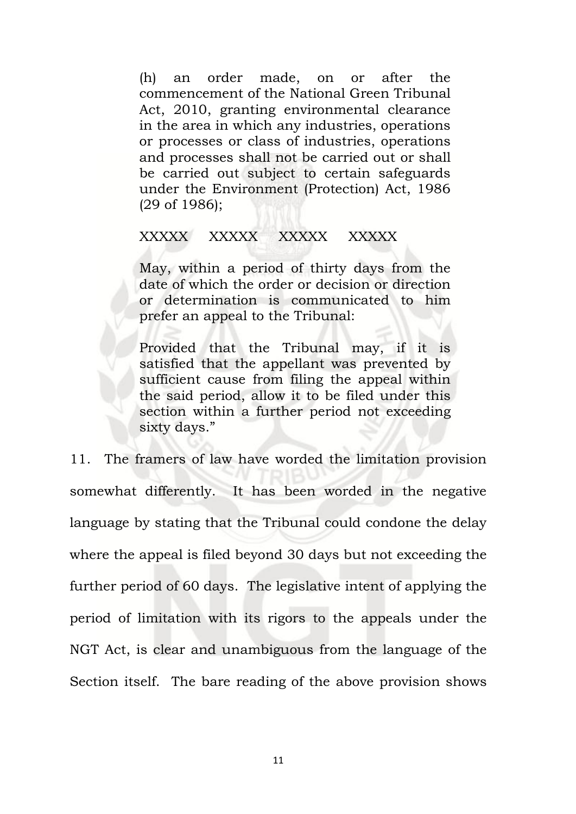(h) an order made, on or after the commencement of the National Green Tribunal Act, 2010, granting environmental clearance in the area in which any industries, operations or processes or class of industries, operations and processes shall not be carried out or shall be carried out subject to certain safeguards under the Environment (Protection) Act, 1986 (29 of 1986);

#### XXXXX XXXXX XXXXX XXXXX

May, within a period of thirty days from the date of which the order or decision or direction or determination is communicated to him prefer an appeal to the Tribunal:

Provided that the Tribunal may, if it is satisfied that the appellant was prevented by sufficient cause from filing the appeal within the said period, allow it to be filed under this section within a further period not exceeding sixty days."

11. The framers of law have worded the limitation provision somewhat differently. It has been worded in the negative language by stating that the Tribunal could condone the delay where the appeal is filed beyond 30 days but not exceeding the further period of 60 days. The legislative intent of applying the period of limitation with its rigors to the appeals under the NGT Act, is clear and unambiguous from the language of the Section itself. The bare reading of the above provision shows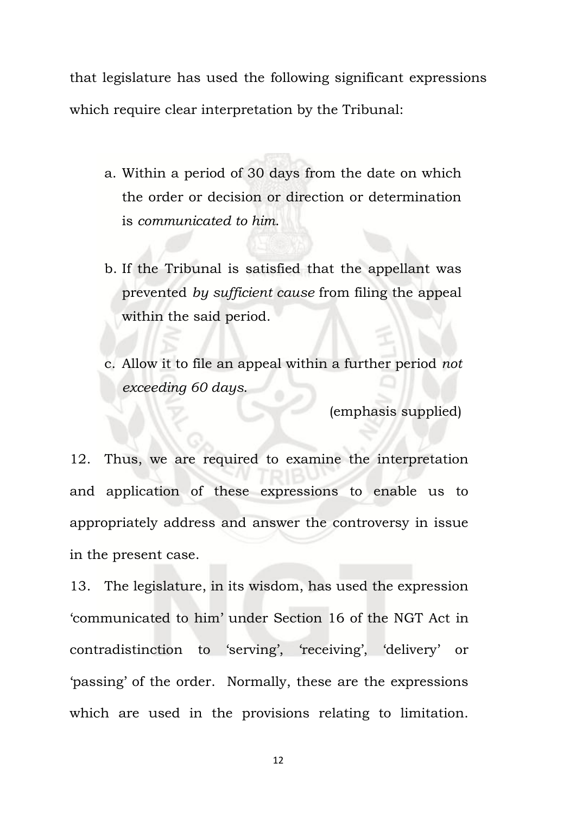that legislature has used the following significant expressions which require clear interpretation by the Tribunal:

- a. Within a period of 30 days from the date on which the order or decision or direction or determination is *communicated to him*.
- b. If the Tribunal is satisfied that the appellant was prevented *by sufficient cause* from filing the appeal within the said period.
- c. Allow it to file an appeal within a further period *not exceeding 60 days*.

(emphasis supplied)

12. Thus, we are required to examine the interpretation and application of these expressions to enable us to appropriately address and answer the controversy in issue in the present case.

13. The legislature, in its wisdom, has used the expression 'communicated to him' under Section 16 of the NGT Act in contradistinction to 'serving', 'receiving', 'delivery' or 'passing' of the order. Normally, these are the expressions which are used in the provisions relating to limitation.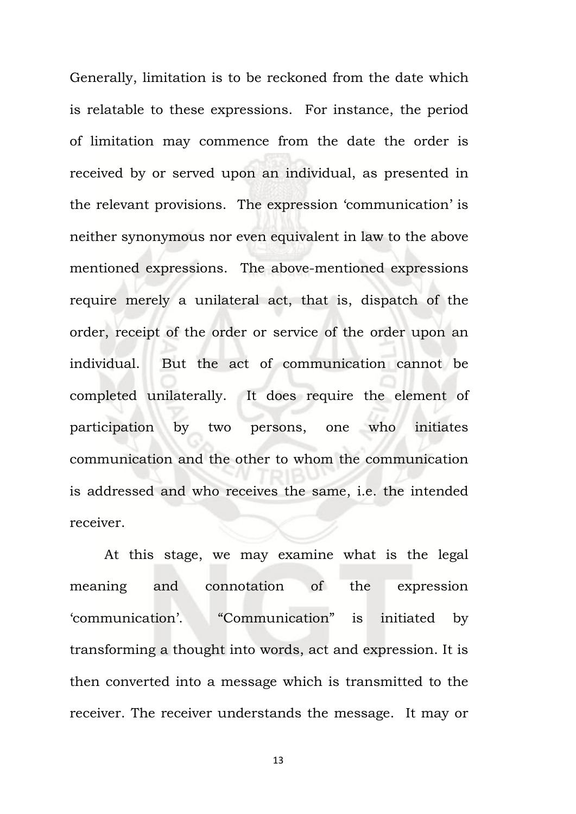Generally, limitation is to be reckoned from the date which is relatable to these expressions. For instance, the period of limitation may commence from the date the order is received by or served upon an individual, as presented in the relevant provisions. The expression 'communication' is neither synonymous nor even equivalent in law to the above mentioned expressions. The above-mentioned expressions require merely a unilateral act, that is, dispatch of the order, receipt of the order or service of the order upon an individual. But the act of communication cannot be completed unilaterally. It does require the element of participation by two persons, one who initiates communication and the other to whom the communication is addressed and who receives the same, i.e. the intended receiver.

At this stage, we may examine what is the legal meaning and connotation of the expression 'communication'. "Communication" is initiated by transforming a thought into words, act and expression. It is then converted into a message which is transmitted to the receiver. The receiver understands the message. It may or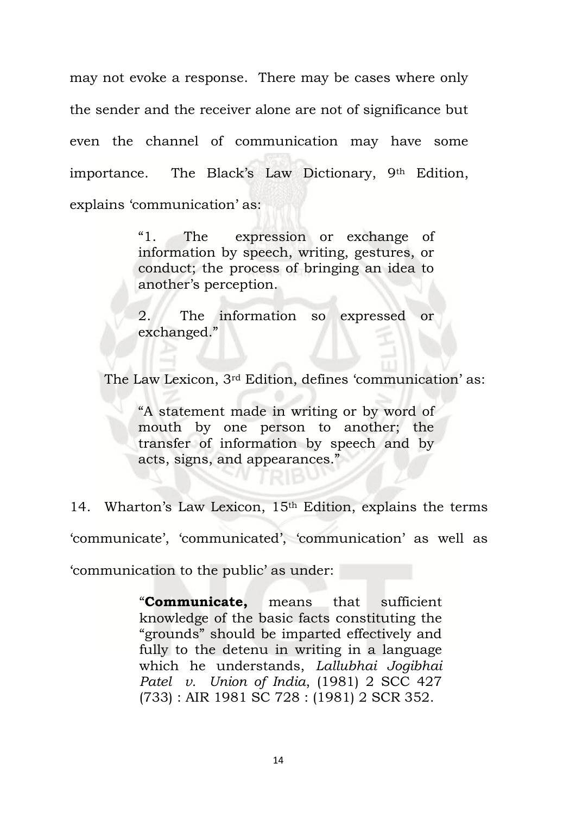may not evoke a response. There may be cases where only the sender and the receiver alone are not of significance but even the channel of communication may have some importance. The Black's Law Dictionary, 9th Edition, explains 'communication' as:

> "1. The expression or exchange of information by speech, writing, gestures, or conduct; the process of bringing an idea to another's perception.

> 2. The information so expressed or exchanged."

The Law Lexicon, 3rd Edition, defines 'communication' as:

"A statement made in writing or by word of mouth by one person to another; the transfer of information by speech and by acts, signs, and appearances."

14. Wharton's Law Lexicon, 15<sup>th</sup> Edition, explains the terms 'communicate', 'communicated', 'communication' as well as 'communication to the public' as under:

> "**Communicate,** means that sufficient knowledge of the basic facts constituting the "grounds" should be imparted effectively and fully to the detenu in writing in a language which he understands, *Lallubhai Jogibhai Patel v. Union of India*, (1981) 2 SCC 427 (733) : AIR 1981 SC 728 : (1981) 2 SCR 352.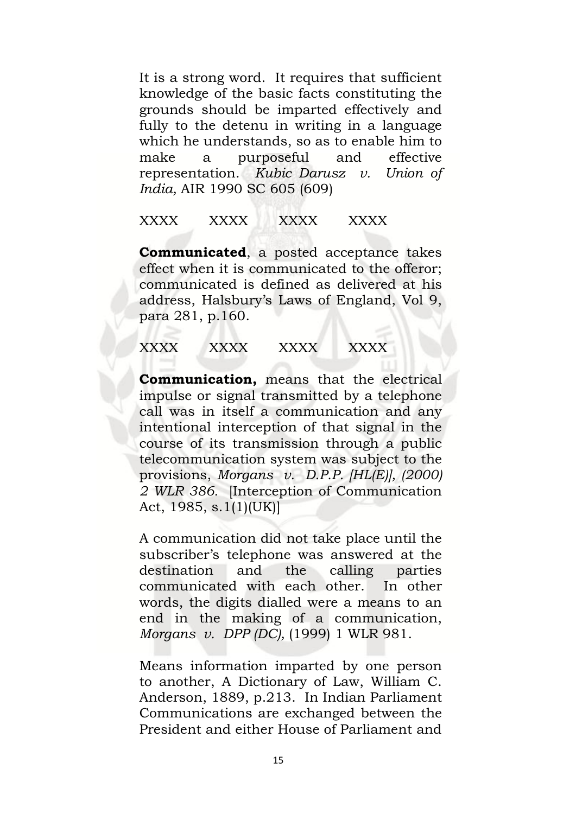It is a strong word. It requires that sufficient knowledge of the basic facts constituting the grounds should be imparted effectively and fully to the detenu in writing in a language which he understands, so as to enable him to make a purposeful and effective representation. *Kubic Darusz v. Union of India,* AIR 1990 SC 605 (609)

# XXXX XXXX XXXX XXXX

**Communicated**, a posted acceptance takes effect when it is communicated to the offeror; communicated is defined as delivered at his address, Halsbury's Laws of England, Vol 9, para 281, p.160.

# XXXX XXXX XXXX XXXX

**Communication,** means that the electrical impulse or signal transmitted by a telephone call was in itself a communication and any intentional interception of that signal in the course of its transmission through a public telecommunication system was subject to the provisions, *Morgans v. D.P.P. [HL(E)], (2000) 2 WLR 386.* [Interception of Communication Act, 1985, s.1(1)(UK)]

A communication did not take place until the subscriber's telephone was answered at the destination and the calling parties communicated with each other. In other words, the digits dialled were a means to an end in the making of a communication, *Morgans v. DPP (DC),* (1999) 1 WLR 981.

Means information imparted by one person to another, A Dictionary of Law, William C. Anderson, 1889, p.213. In Indian Parliament Communications are exchanged between the President and either House of Parliament and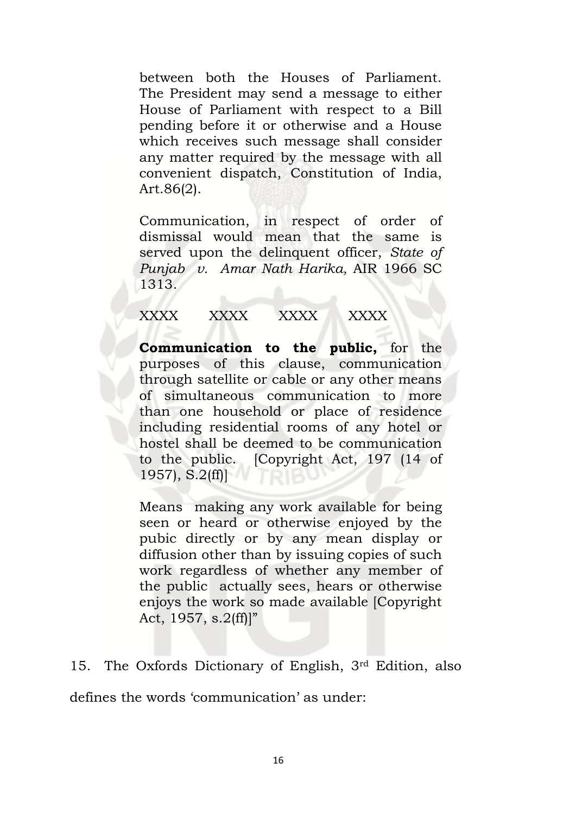between both the Houses of Parliament. The President may send a message to either House of Parliament with respect to a Bill pending before it or otherwise and a House which receives such message shall consider any matter required by the message with all convenient dispatch, Constitution of India, Art.86(2).

Communication, in respect of order of dismissal would mean that the same is served upon the delinquent officer, *State of Punjab v. Amar Nath Harika,* AIR 1966 SC 1313.

# XXXX XXXX XXXX XXXX

**Communication to the public,** for the purposes of this clause, communication through satellite or cable or any other means of simultaneous communication to more than one household or place of residence including residential rooms of any hotel or hostel shall be deemed to be communication to the public. [Copyright Act, 197 (14 of 1957), S.2(ff)]

Means making any work available for being seen or heard or otherwise enjoyed by the pubic directly or by any mean display or diffusion other than by issuing copies of such work regardless of whether any member of the public actually sees, hears or otherwise enjoys the work so made available [Copyright Act,  $1957$ , s.  $2(ff)$ ]"

15. The Oxfords Dictionary of English, 3rd Edition, also

defines the words 'communication' as under: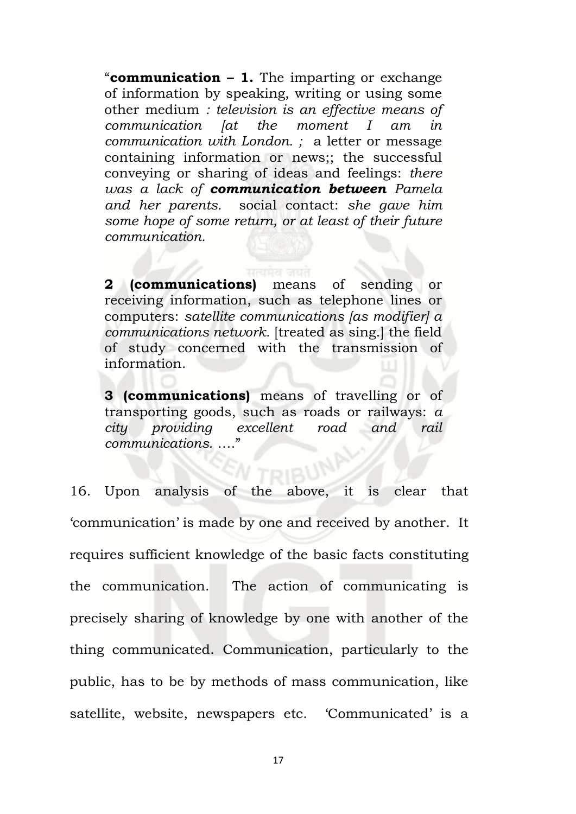"**communication – 1.** The imparting or exchange of information by speaking, writing or using some other medium *: television is an effective means of communication [at the moment I am in communication with London. ;* a letter or message containing information or news;; the successful conveying or sharing of ideas and feelings: *there was a lack of communication between Pamela and her parents.* social contact: *she gave him some hope of some return, or at least of their future communication.*

**2 (communications)** means of sending or receiving information, such as telephone lines or computers: *satellite communications [as modifier] a communications network.* [treated as sing.] the field of study concerned with the transmission of information.

**3 (communications)** means of travelling or of transporting goods, such as roads or railways: *a city providing excellent road and rail communications.* …."

16. Upon analysis of the above, it is clear that 'communication' is made by one and received by another. It requires sufficient knowledge of the basic facts constituting the communication. The action of communicating is precisely sharing of knowledge by one with another of the thing communicated. Communication, particularly to the public, has to be by methods of mass communication, like satellite, website, newspapers etc. 'Communicated' is a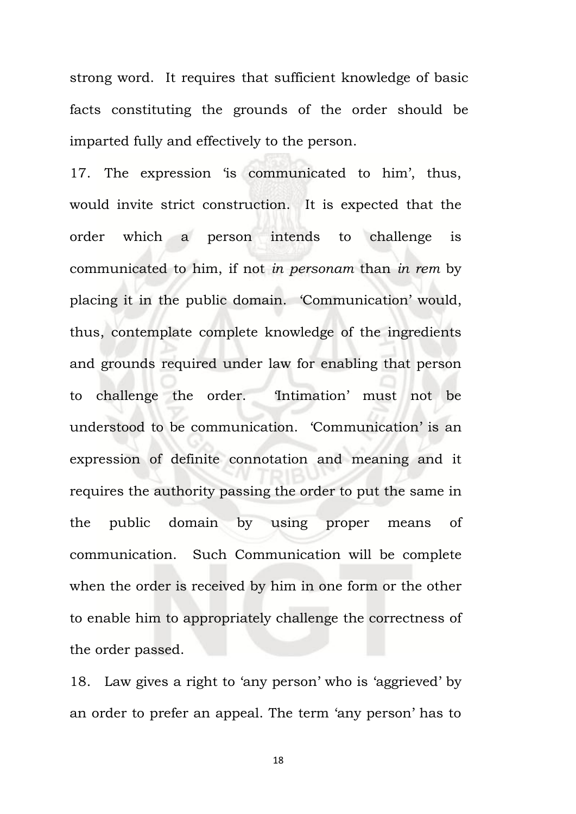strong word. It requires that sufficient knowledge of basic facts constituting the grounds of the order should be imparted fully and effectively to the person.

17. The expression 'is communicated to him', thus, would invite strict construction. It is expected that the order which a person intends to challenge is communicated to him, if not *in personam* than *in rem* by placing it in the public domain. 'Communication' would, thus, contemplate complete knowledge of the ingredients and grounds required under law for enabling that person to challenge the order. 'Intimation' must not be understood to be communication. 'Communication' is an expression of definite connotation and meaning and it requires the authority passing the order to put the same in the public domain by using proper means of communication. Such Communication will be complete when the order is received by him in one form or the other to enable him to appropriately challenge the correctness of the order passed.

18. Law gives a right to 'any person' who is 'aggrieved' by an order to prefer an appeal. The term 'any person' has to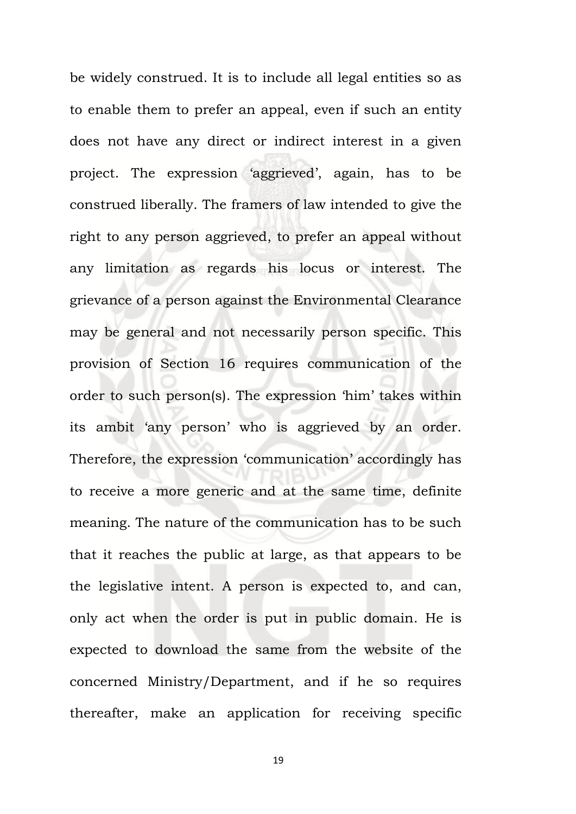be widely construed. It is to include all legal entities so as to enable them to prefer an appeal, even if such an entity does not have any direct or indirect interest in a given project. The expression 'aggrieved', again, has to be construed liberally. The framers of law intended to give the right to any person aggrieved, to prefer an appeal without any limitation as regards his locus or interest. The grievance of a person against the Environmental Clearance may be general and not necessarily person specific. This provision of Section 16 requires communication of the order to such person(s). The expression 'him' takes within its ambit 'any person' who is aggrieved by an order. Therefore, the expression 'communication' accordingly has to receive a more generic and at the same time, definite meaning. The nature of the communication has to be such that it reaches the public at large, as that appears to be the legislative intent. A person is expected to, and can, only act when the order is put in public domain. He is expected to download the same from the website of the concerned Ministry/Department, and if he so requires thereafter, make an application for receiving specific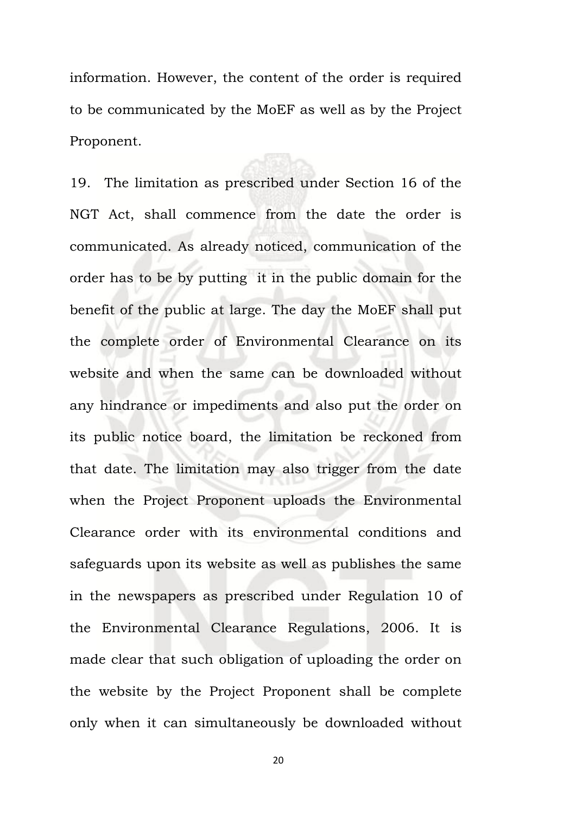information. However, the content of the order is required to be communicated by the MoEF as well as by the Project Proponent.

19. The limitation as prescribed under Section 16 of the NGT Act, shall commence from the date the order is communicated. As already noticed, communication of the order has to be by putting it in the public domain for the benefit of the public at large. The day the MoEF shall put the complete order of Environmental Clearance on its website and when the same can be downloaded without any hindrance or impediments and also put the order on its public notice board, the limitation be reckoned from that date. The limitation may also trigger from the date when the Project Proponent uploads the Environmental Clearance order with its environmental conditions and safeguards upon its website as well as publishes the same in the newspapers as prescribed under Regulation 10 of the Environmental Clearance Regulations, 2006. It is made clear that such obligation of uploading the order on the website by the Project Proponent shall be complete only when it can simultaneously be downloaded without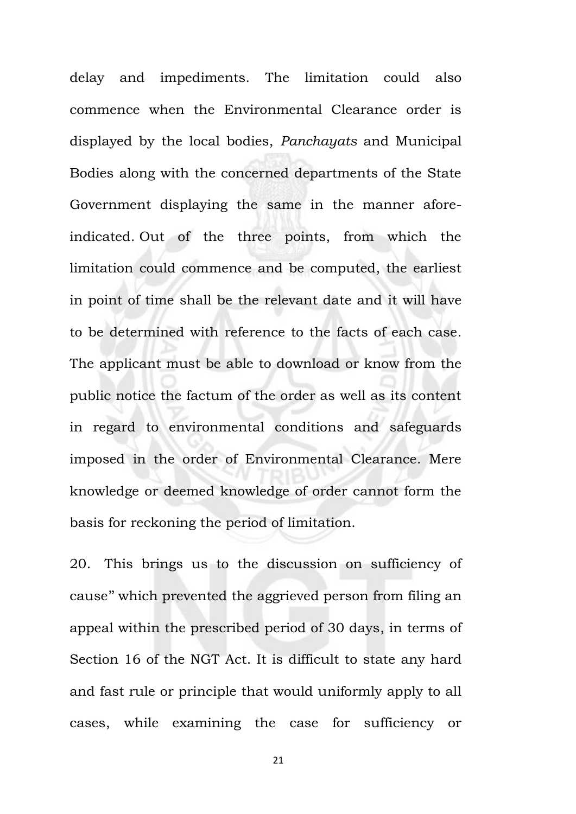delay and impediments. The limitation could also commence when the Environmental Clearance order is displayed by the local bodies, *Panchayats* and Municipal Bodies along with the concerned departments of the State Government displaying the same in the manner aforeindicated. Out of the three points, from which the limitation could commence and be computed, the earliest in point of time shall be the relevant date and it will have to be determined with reference to the facts of each case. The applicant must be able to download or know from the public notice the factum of the order as well as its content in regard to environmental conditions and safeguards imposed in the order of Environmental Clearance. Mere knowledge or deemed knowledge of order cannot form the basis for reckoning the period of limitation.

20. This brings us to the discussion on sufficiency of cause'' which prevented the aggrieved person from filing an appeal within the prescribed period of 30 days, in terms of Section 16 of the NGT Act. It is difficult to state any hard and fast rule or principle that would uniformly apply to all cases, while examining the case for sufficiency or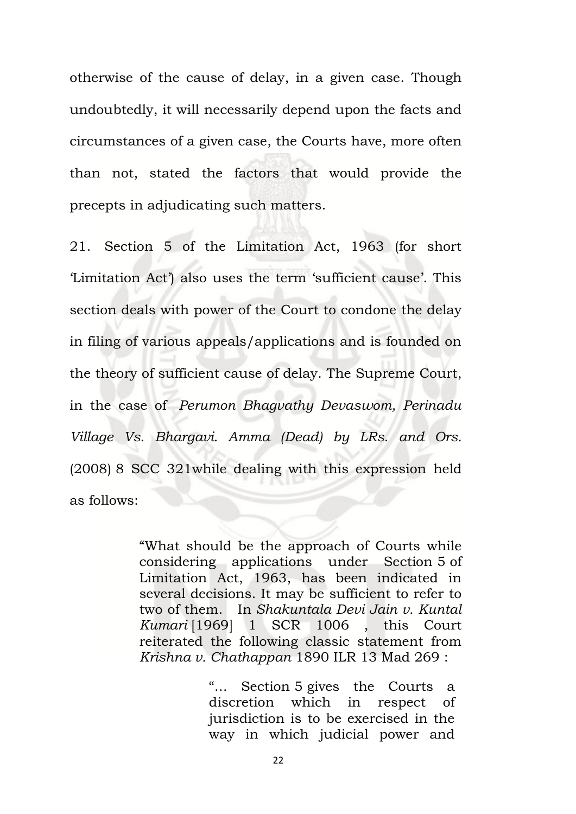otherwise of the cause of delay, in a given case. Though undoubtedly, it will necessarily depend upon the facts and circumstances of a given case, the Courts have, more often than not, stated the factors that would provide the precepts in adjudicating such matters.

21. Section 5 of the Limitation Act, 1963 (for short 'Limitation Act') also uses the term 'sufficient cause'. This section deals with power of the Court to condone the delay in filing of various appeals/applications and is founded on the theory of sufficient cause of delay. The Supreme Court, in the case of *Perumon Bhagvathy Devaswom, Perinadu Village Vs. Bhargavi. Amma (Dead) by LRs. and Ors.* (2008) 8 SCC 321while dealing with this expression held as follows:

> "What should be the approach of Courts while considering applications under Section 5 of Limitation Act, 1963, has been indicated in several decisions. It may be sufficient to refer to two of them. In *Shakuntala Devi Jain v. Kuntal Kumari* [1969] 1 SCR 1006 , this Court reiterated the following classic statement from *Krishna v. Chathappan* 1890 ILR 13 Mad 269 :

> > "... Section 5 gives the Courts a discretion which in respect of jurisdiction is to be exercised in the way in which judicial power and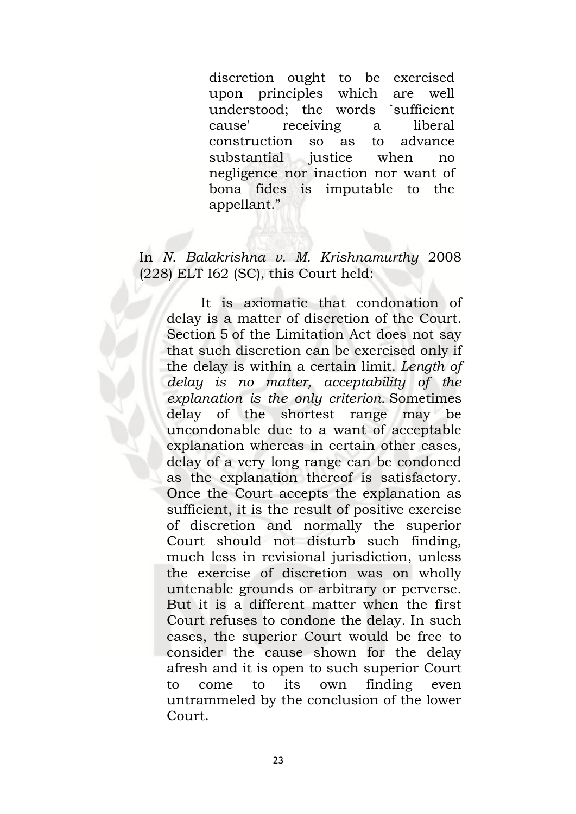discretion ought to be exercised upon principles which are well understood; the words `sufficient cause' receiving a liberal construction so as to advance substantial justice when no negligence nor inaction nor want of bona fides is imputable to the appellant."

# In *N. Balakrishna v. M. Krishnamurthy* 2008 (228) ELT I62 (SC), this Court held:

It is axiomatic that condonation of delay is a matter of discretion of the Court. Section 5 of the Limitation Act does not say that such discretion can be exercised only if the delay is within a certain limit. *Length of delay is no matter, acceptability of the explanation is the only criterion.* Sometimes delay of the shortest range may be uncondonable due to a want of acceptable explanation whereas in certain other cases, delay of a very long range can be condoned as the explanation thereof is satisfactory. Once the Court accepts the explanation as sufficient, it is the result of positive exercise of discretion and normally the superior Court should not disturb such finding, much less in revisional jurisdiction, unless the exercise of discretion was on wholly untenable grounds or arbitrary or perverse. But it is a different matter when the first Court refuses to condone the delay. In such cases, the superior Court would be free to consider the cause shown for the delay afresh and it is open to such superior Court to come to its own finding even untrammeled by the conclusion of the lower Court.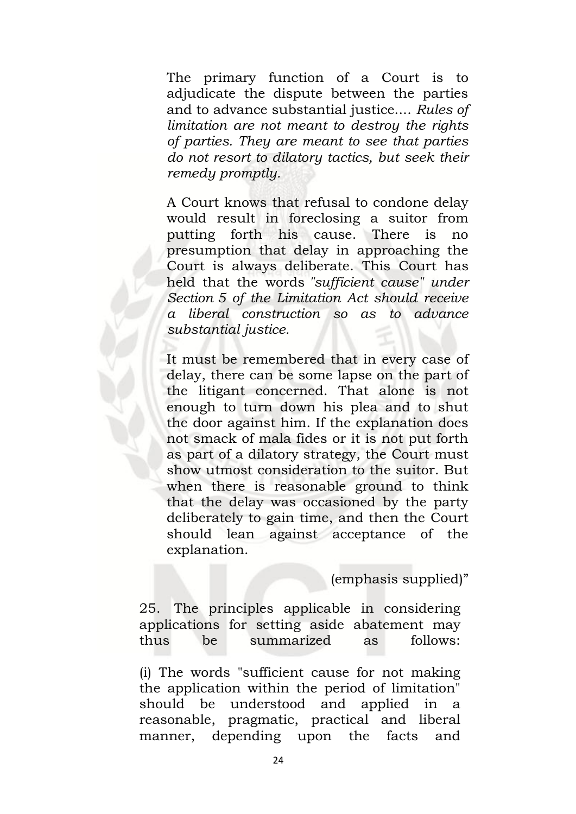The primary function of a Court is to adjudicate the dispute between the parties and to advance substantial justice.... *Rules of limitation are not meant to destroy the rights of parties. They are meant to see that parties do not resort to dilatory tactics, but seek their remedy promptly.*

A Court knows that refusal to condone delay would result in foreclosing a suitor from putting forth his cause. There is no presumption that delay in approaching the Court is always deliberate. This Court has held that the words *"sufficient cause" under Section 5 of the Limitation Act should receive a liberal construction so as to advance substantial justice.*

It must be remembered that in every case of delay, there can be some lapse on the part of the litigant concerned. That alone is not enough to turn down his plea and to shut the door against him. If the explanation does not smack of mala fides or it is not put forth as part of a dilatory strategy, the Court must show utmost consideration to the suitor. But when there is reasonable ground to think that the delay was occasioned by the party deliberately to gain time, and then the Court should lean against acceptance of the explanation.

(emphasis supplied)"

25. The principles applicable in considering applications for setting aside abatement may thus be summarized as follows:

(i) The words "sufficient cause for not making the application within the period of limitation" should be understood and applied in a reasonable, pragmatic, practical and liberal manner, depending upon the facts and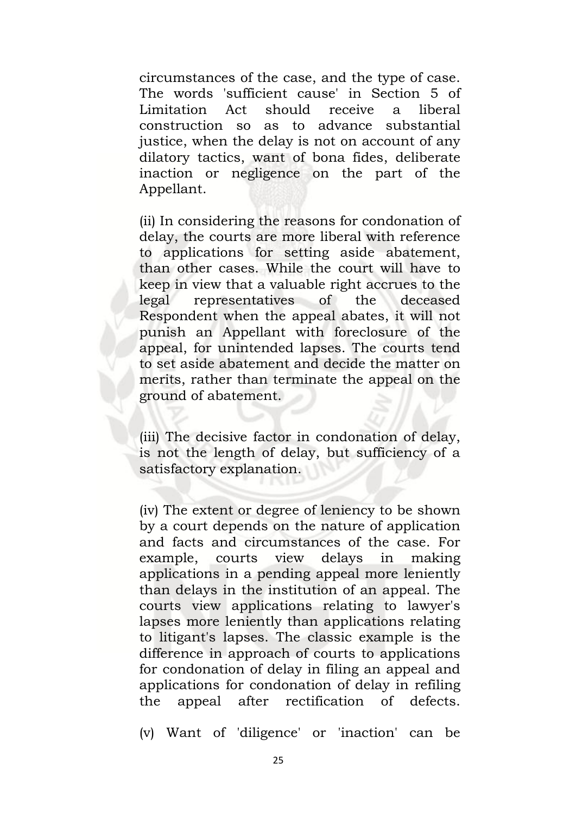circumstances of the case, and the type of case. The words 'sufficient cause' in Section 5 of Limitation Act should receive a liberal construction so as to advance substantial justice, when the delay is not on account of any dilatory tactics, want of bona fides, deliberate inaction or negligence on the part of the Appellant.

(ii) In considering the reasons for condonation of delay, the courts are more liberal with reference to applications for setting aside abatement, than other cases. While the court will have to keep in view that a valuable right accrues to the legal representatives of the deceased Respondent when the appeal abates, it will not punish an Appellant with foreclosure of the appeal, for unintended lapses. The courts tend to set aside abatement and decide the matter on merits, rather than terminate the appeal on the ground of abatement.

(iii) The decisive factor in condonation of delay, is not the length of delay, but sufficiency of a satisfactory explanation.

(iv) The extent or degree of leniency to be shown by a court depends on the nature of application and facts and circumstances of the case. For example, courts view delays in making applications in a pending appeal more leniently than delays in the institution of an appeal. The courts view applications relating to lawyer's lapses more leniently than applications relating to litigant's lapses. The classic example is the difference in approach of courts to applications for condonation of delay in filing an appeal and applications for condonation of delay in refiling the appeal after rectification of defects.

(v) Want of 'diligence' or 'inaction' can be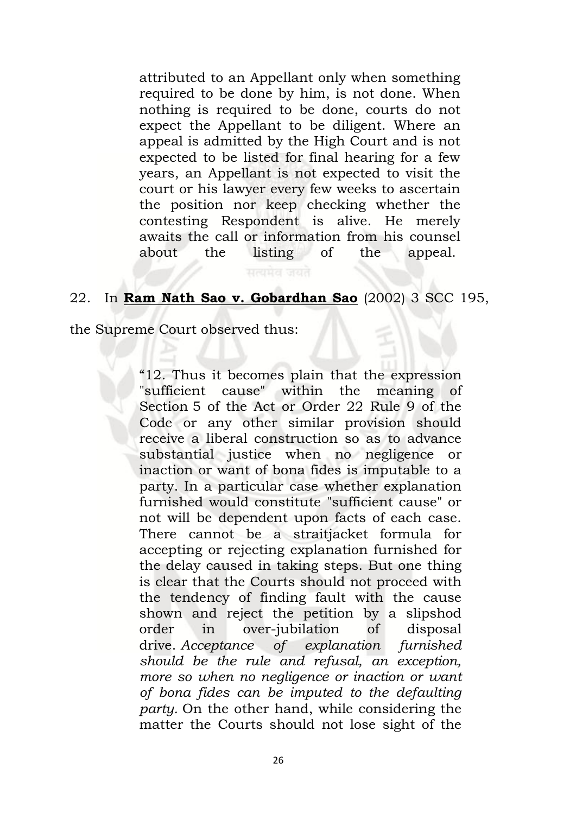attributed to an Appellant only when something required to be done by him, is not done. When nothing is required to be done, courts do not expect the Appellant to be diligent. Where an appeal is admitted by the High Court and is not expected to be listed for final hearing for a few years, an Appellant is not expected to visit the court or his lawyer every few weeks to ascertain the position nor keep checking whether the contesting Respondent is alive. He merely awaits the call or information from his counsel about the listing of the appeal.

# 22. In **Ram Nath Sao v. Gobardhan Sao** (2002) 3 SCC 195,

the Supreme Court observed thus:

"12. Thus it becomes plain that the expression "sufficient cause" within the meaning of Section 5 of the Act or Order 22 Rule 9 of the Code or any other similar provision should receive a liberal construction so as to advance substantial justice when no negligence or inaction or want of bona fides is imputable to a party. In a particular case whether explanation furnished would constitute "sufficient cause" or not will be dependent upon facts of each case. There cannot be a straitjacket formula for accepting or rejecting explanation furnished for the delay caused in taking steps. But one thing is clear that the Courts should not proceed with the tendency of finding fault with the cause shown and reject the petition by a slipshod order in over-jubilation of disposal drive. *Acceptance of explanation furnished should be the rule and refusal, an exception, more so when no negligence or inaction or want of bona fides can be imputed to the defaulting party.* On the other hand, while considering the matter the Courts should not lose sight of the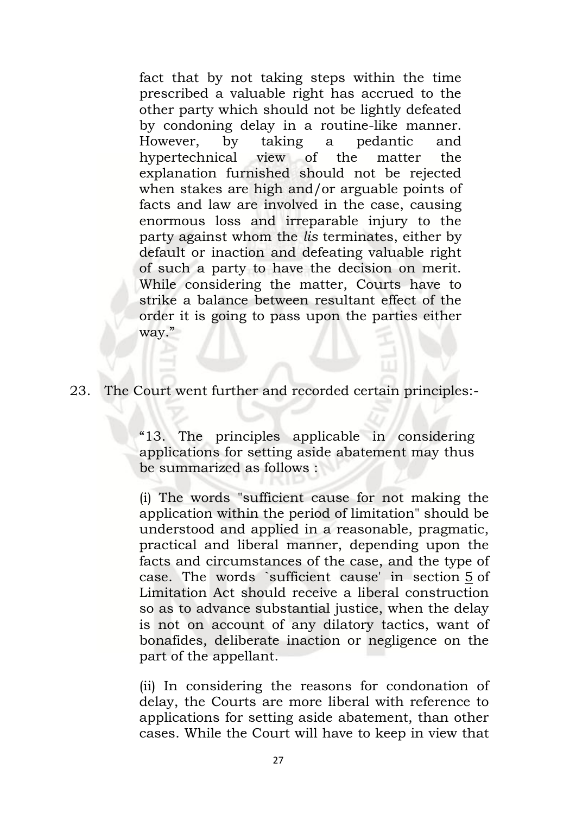fact that by not taking steps within the time prescribed a valuable right has accrued to the other party which should not be lightly defeated by condoning delay in a routine-like manner. However, by taking a pedantic and hypertechnical view of the matter the explanation furnished should not be rejected when stakes are high and/or arguable points of facts and law are involved in the case, causing enormous loss and irreparable injury to the party against whom the *lis* terminates, either by default or inaction and defeating valuable right of such a party to have the decision on merit. While considering the matter, Courts have to strike a balance between resultant effect of the order it is going to pass upon the parties either way."

# 23. The Court went further and recorded certain principles:-

"13. The principles applicable in considering applications for setting aside abatement may thus be summarized as follows :

(i) The words "sufficient cause for not making the application within the period of limitation" should be understood and applied in a reasonable, pragmatic, practical and liberal manner, depending upon the facts and circumstances of the case, and the type of case. The words `sufficient cause' in section [5](javascript:fnOpenGlobalPopUp() of Limitation Act should receive a liberal construction so as to advance substantial justice, when the delay is not on account of any dilatory tactics, want of bonafides, deliberate inaction or negligence on the part of the appellant.

(ii) In considering the reasons for condonation of delay, the Courts are more liberal with reference to applications for setting aside abatement, than other cases. While the Court will have to keep in view that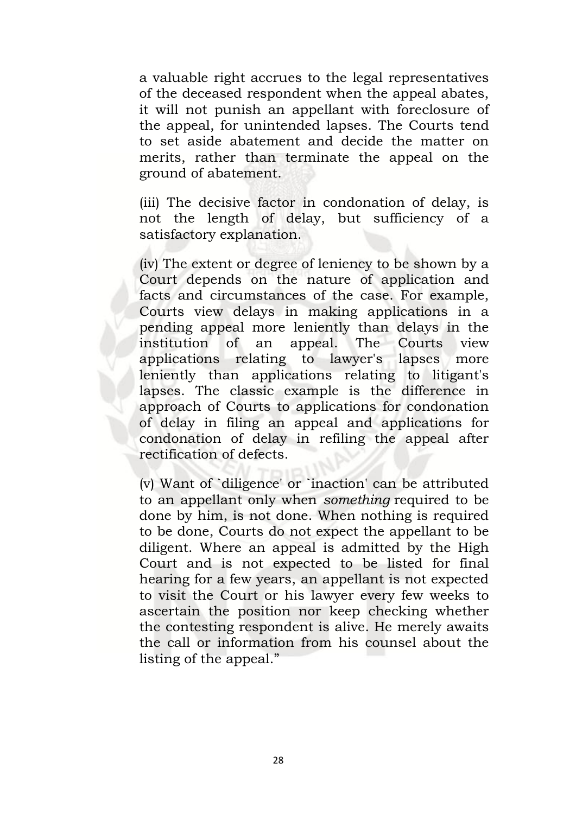a valuable right accrues to the legal representatives of the deceased respondent when the appeal abates, it will not punish an appellant with foreclosure of the appeal, for unintended lapses. The Courts tend to set aside abatement and decide the matter on merits, rather than terminate the appeal on the ground of abatement.

(iii) The decisive factor in condonation of delay, is not the length of delay, but sufficiency of a satisfactory explanation.

(iv) The extent or degree of leniency to be shown by a Court depends on the nature of application and facts and circumstances of the case. For example, Courts view delays in making applications in a pending appeal more leniently than delays in the institution of an appeal. The Courts view applications relating to lawyer's lapses more leniently than applications relating to litigant's lapses. The classic example is the difference in approach of Courts to applications for condonation of delay in filing an appeal and applications for condonation of delay in refiling the appeal after rectification of defects.

(v) Want of `diligence' or `inaction' can be attributed to an appellant only when *something* required to be done by him, is not done. When nothing is required to be done, Courts do not expect the appellant to be diligent. Where an appeal is admitted by the High Court and is not expected to be listed for final hearing for a few years, an appellant is not expected to visit the Court or his lawyer every few weeks to ascertain the position nor keep checking whether the contesting respondent is alive. He merely awaits the call or information from his counsel about the listing of the appeal."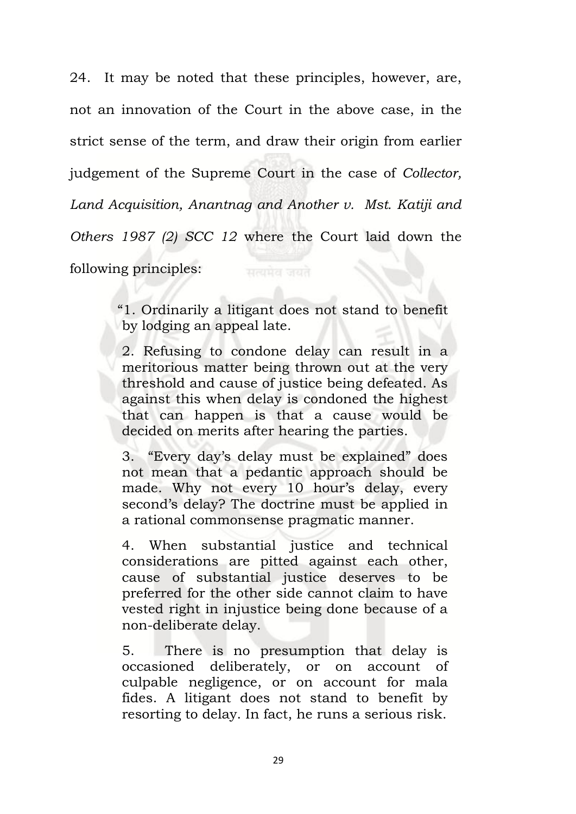24. It may be noted that these principles, however, are, not an innovation of the Court in the above case, in the strict sense of the term, and draw their origin from earlier judgement of the Supreme Court in the case of *Collector, Land Acquisition, Anantnag and Another v. Mst. Katiji and Others 1987 (2) SCC 12* where the Court laid down the following principles:

> "1. Ordinarily a litigant does not stand to benefit by lodging an appeal late.

> 2. Refusing to condone delay can result in a meritorious matter being thrown out at the very threshold and cause of justice being defeated. As against this when delay is condoned the highest that can happen is that a cause would be decided on merits after hearing the parties.

> 3. "Every day's delay must be explained" does not mean that a pedantic approach should be made. Why not every 10 hour's delay, every second's delay? The doctrine must be applied in a rational commonsense pragmatic manner.

> 4. When substantial justice and technical considerations are pitted against each other, cause of substantial justice deserves to be preferred for the other side cannot claim to have vested right in injustice being done because of a non-deliberate delay.

> 5. There is no presumption that delay is occasioned deliberately, or on account of culpable negligence, or on account for mala fides. A litigant does not stand to benefit by resorting to delay. In fact, he runs a serious risk.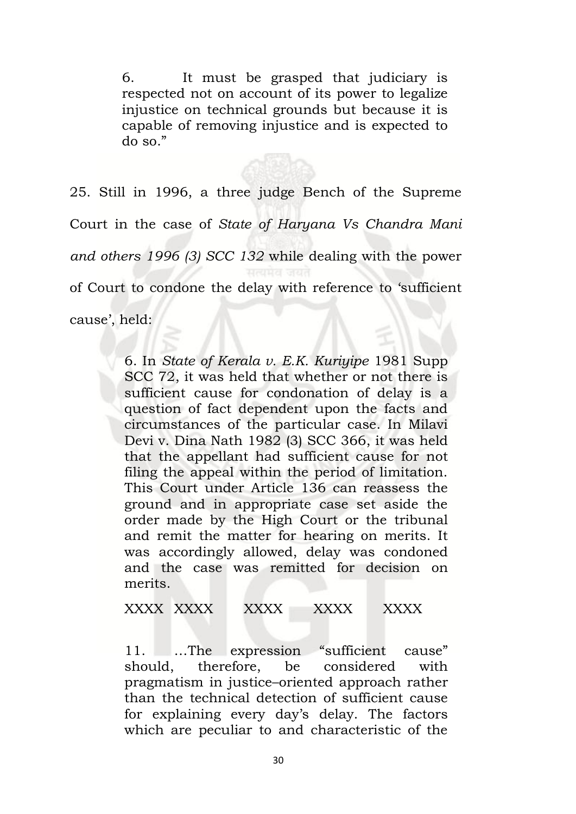6. It must be grasped that judiciary is respected not on account of its power to legalize injustice on technical grounds but because it is capable of removing injustice and is expected to do so."

25. Still in 1996, a three judge Bench of the Supreme Court in the case of *State of Haryana Vs Chandra Mani and others 1996 (3) SCC 132* while dealing with the power of Court to condone the delay with reference to 'sufficient cause', held:

> 6. In *State of Kerala v. E.K. Kuriyipe* 1981 Supp SCC 72, it was held that whether or not there is sufficient cause for condonation of delay is a question of fact dependent upon the facts and circumstances of the particular case. In Milavi Devi v. Dina Nath 1982 (3) SCC 366, it was held that the appellant had sufficient cause for not filing the appeal within the period of limitation. This Court under Article 136 can reassess the ground and in appropriate case set aside the order made by the High Court or the tribunal and remit the matter for hearing on merits. It was accordingly allowed, delay was condoned and the case was remitted for decision on merits.

XXXX XXXX XXXX XXXX XXXX

11. …The expression "sufficient cause" should, therefore, be considered with pragmatism in justice–oriented approach rather than the technical detection of sufficient cause for explaining every day's delay. The factors which are peculiar to and characteristic of the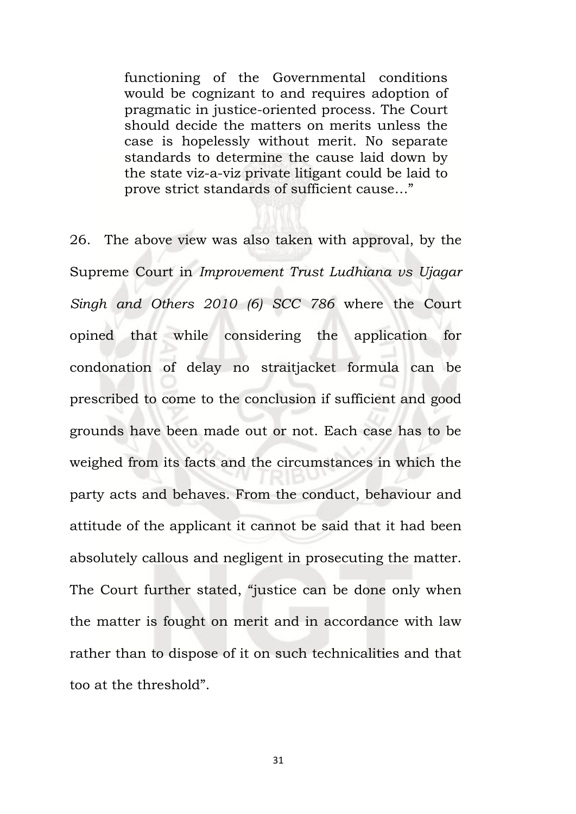functioning of the Governmental conditions would be cognizant to and requires adoption of pragmatic in justice-oriented process. The Court should decide the matters on merits unless the case is hopelessly without merit. No separate standards to determine the cause laid down by the state viz-a-viz private litigant could be laid to prove strict standards of sufficient cause…"

26. The above view was also taken with approval, by the Supreme Court in *Improvement Trust Ludhiana vs Ujagar Singh and Others 2010 (6) SCC 786* where the Court opined that while considering the application for condonation of delay no straitjacket formula can be prescribed to come to the conclusion if sufficient and good grounds have been made out or not. Each case has to be weighed from its facts and the circumstances in which the party acts and behaves. From the conduct, behaviour and attitude of the applicant it cannot be said that it had been absolutely callous and negligent in prosecuting the matter. The Court further stated, "justice can be done only when the matter is fought on merit and in accordance with law rather than to dispose of it on such technicalities and that too at the threshold".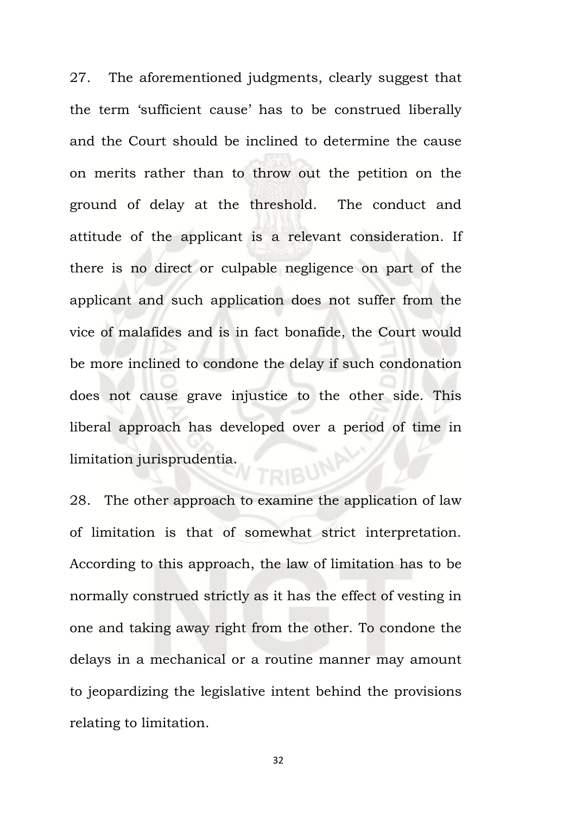27. The aforementioned judgments, clearly suggest that the term 'sufficient cause' has to be construed liberally and the Court should be inclined to determine the cause on merits rather than to throw out the petition on the ground of delay at the threshold. The conduct and attitude of the applicant is a relevant consideration. If there is no direct or culpable negligence on part of the applicant and such application does not suffer from the vice of malafides and is in fact bonafide, the Court would be more inclined to condone the delay if such condonation does not cause grave injustice to the other side. This liberal approach has developed over a period of time in **RIBUNA** limitation jurisprudentia.

28. The other approach to examine the application of law of limitation is that of somewhat strict interpretation. According to this approach, the law of limitation has to be normally construed strictly as it has the effect of vesting in one and taking away right from the other. To condone the delays in a mechanical or a routine manner may amount to jeopardizing the legislative intent behind the provisions relating to limitation.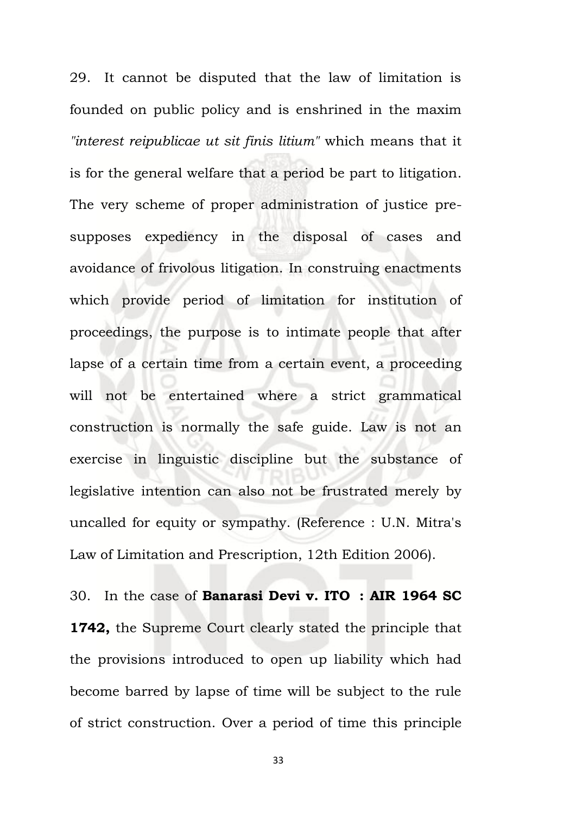29. It cannot be disputed that the law of limitation is founded on public policy and is enshrined in the maxim *"interest reipublicae ut sit finis litium"* which means that it is for the general welfare that a period be part to litigation. The very scheme of proper administration of justice presupposes expediency in the disposal of cases and avoidance of frivolous litigation. In construing enactments which provide period of limitation for institution of proceedings, the purpose is to intimate people that after lapse of a certain time from a certain event, a proceeding will not be entertained where a strict grammatical construction is normally the safe guide. Law is not an exercise in linguistic discipline but the substance of legislative intention can also not be frustrated merely by uncalled for equity or sympathy. (Reference : U.N. Mitra's Law of Limitation and Prescription, 12th Edition 2006).

30. In the case of **Banarasi Devi v. ITO : AIR 1964 SC 1742,** the Supreme Court clearly stated the principle that the provisions introduced to open up liability which had become barred by lapse of time will be subject to the rule of strict construction. Over a period of time this principle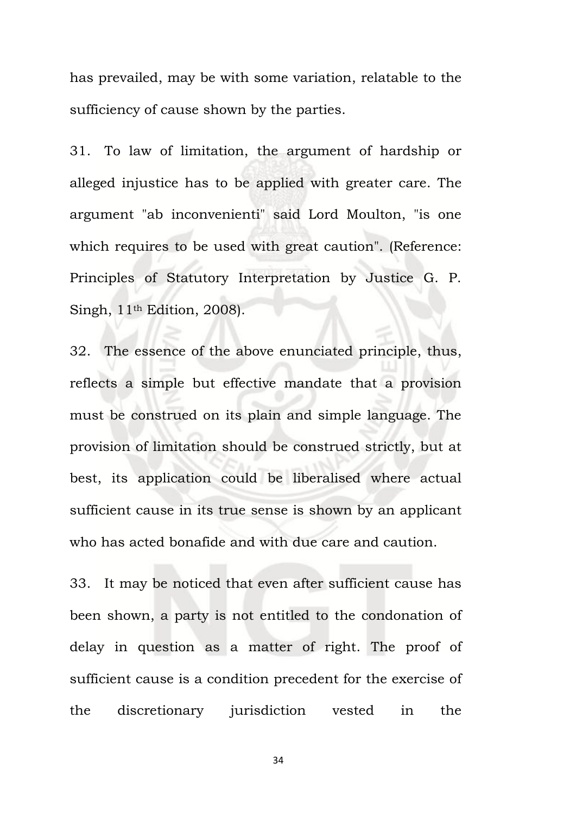has prevailed, may be with some variation, relatable to the sufficiency of cause shown by the parties.

31. To law of limitation, the argument of hardship or alleged injustice has to be applied with greater care. The argument "ab inconvenienti" said Lord Moulton, "is one which requires to be used with great caution". (Reference: Principles of Statutory Interpretation by Justice G. P. Singh, 11th Edition, 2008).

32. The essence of the above enunciated principle, thus, reflects a simple but effective mandate that a provision must be construed on its plain and simple language. The provision of limitation should be construed strictly, but at best, its application could be liberalised where actual sufficient cause in its true sense is shown by an applicant who has acted bonafide and with due care and caution.

33. It may be noticed that even after sufficient cause has been shown, a party is not entitled to the condonation of delay in question as a matter of right. The proof of sufficient cause is a condition precedent for the exercise of the discretionary jurisdiction vested in the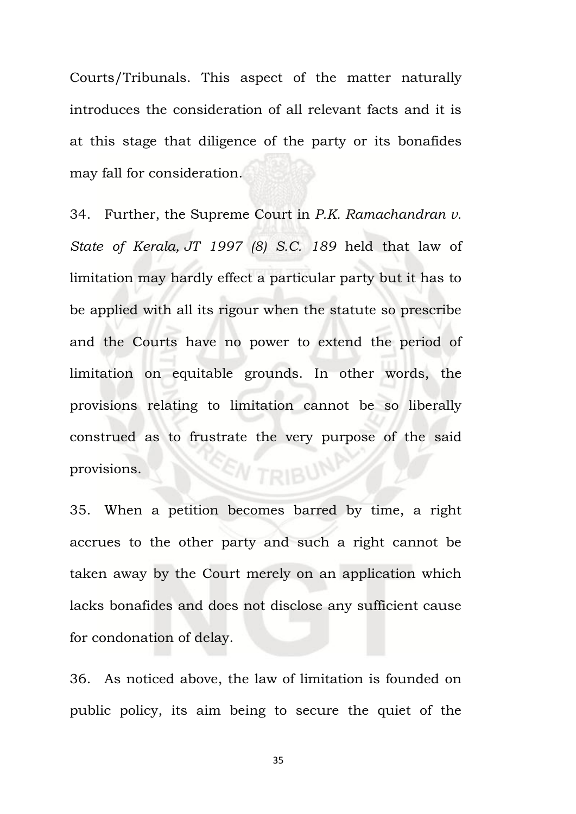Courts/Tribunals. This aspect of the matter naturally introduces the consideration of all relevant facts and it is at this stage that diligence of the party or its bonafides may fall for consideration.

34. Further, the Supreme Court in *P.K. Ramachandran v. State of Kerala, JT 1997 (8) S.C. 189* held that law of limitation may hardly effect a particular party but it has to be applied with all its rigour when the statute so prescribe and the Courts have no power to extend the period of limitation on equitable grounds. In other words, the provisions relating to limitation cannot be so liberally construed as to frustrate the very purpose of the said W TRIBUN provisions.

35. When a petition becomes barred by time, a right accrues to the other party and such a right cannot be taken away by the Court merely on an application which lacks bonafides and does not disclose any sufficient cause for condonation of delay.

36. As noticed above, the law of limitation is founded on public policy, its aim being to secure the quiet of the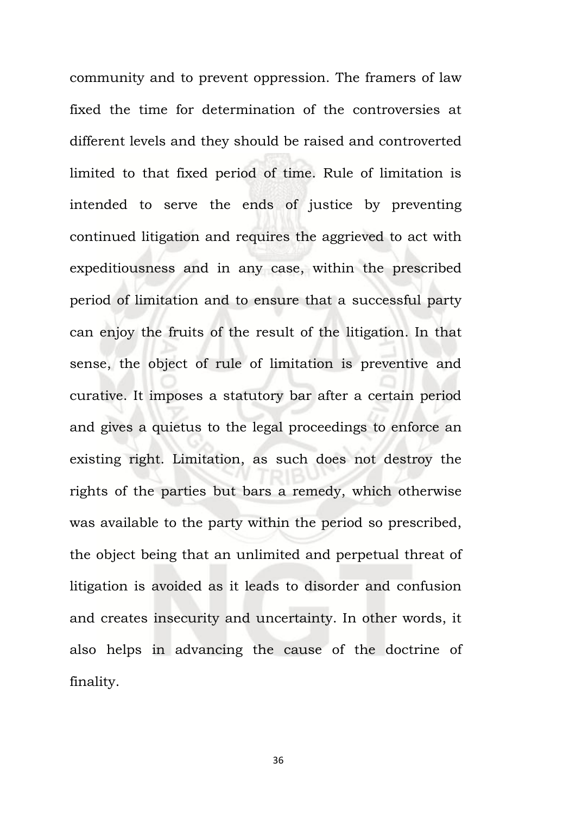community and to prevent oppression. The framers of law fixed the time for determination of the controversies at different levels and they should be raised and controverted limited to that fixed period of time. Rule of limitation is intended to serve the ends of justice by preventing continued litigation and requires the aggrieved to act with expeditiousness and in any case, within the prescribed period of limitation and to ensure that a successful party can enjoy the fruits of the result of the litigation. In that sense, the object of rule of limitation is preventive and curative. It imposes a statutory bar after a certain period and gives a quietus to the legal proceedings to enforce an existing right. Limitation, as such does not destroy the rights of the parties but bars a remedy, which otherwise was available to the party within the period so prescribed, the object being that an unlimited and perpetual threat of litigation is avoided as it leads to disorder and confusion and creates insecurity and uncertainty. In other words, it also helps in advancing the cause of the doctrine of finality.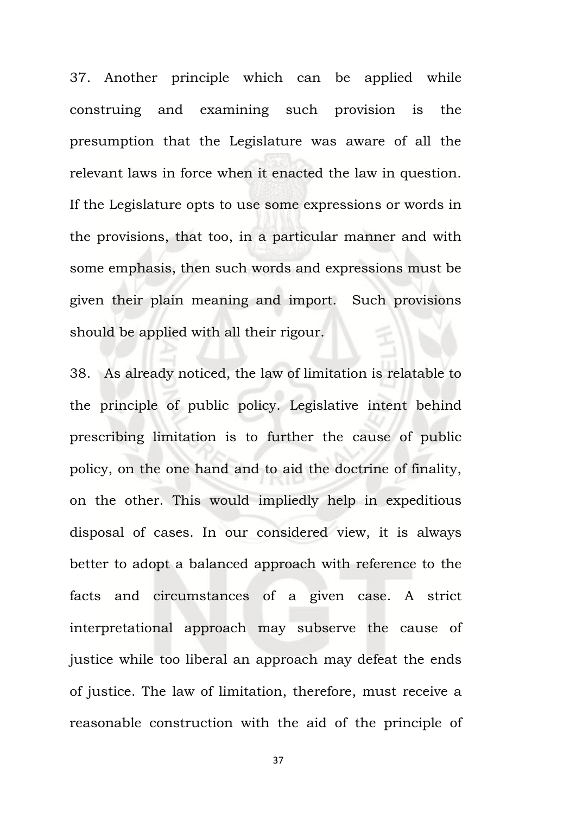37. Another principle which can be applied while construing and examining such provision is the presumption that the Legislature was aware of all the relevant laws in force when it enacted the law in question. If the Legislature opts to use some expressions or words in the provisions, that too, in a particular manner and with some emphasis, then such words and expressions must be given their plain meaning and import. Such provisions should be applied with all their rigour.

38. As already noticed, the law of limitation is relatable to the principle of public policy. Legislative intent behind prescribing limitation is to further the cause of public policy, on the one hand and to aid the doctrine of finality, on the other. This would impliedly help in expeditious disposal of cases. In our considered view, it is always better to adopt a balanced approach with reference to the facts and circumstances of a given case. A strict interpretational approach may subserve the cause of justice while too liberal an approach may defeat the ends of justice. The law of limitation, therefore, must receive a reasonable construction with the aid of the principle of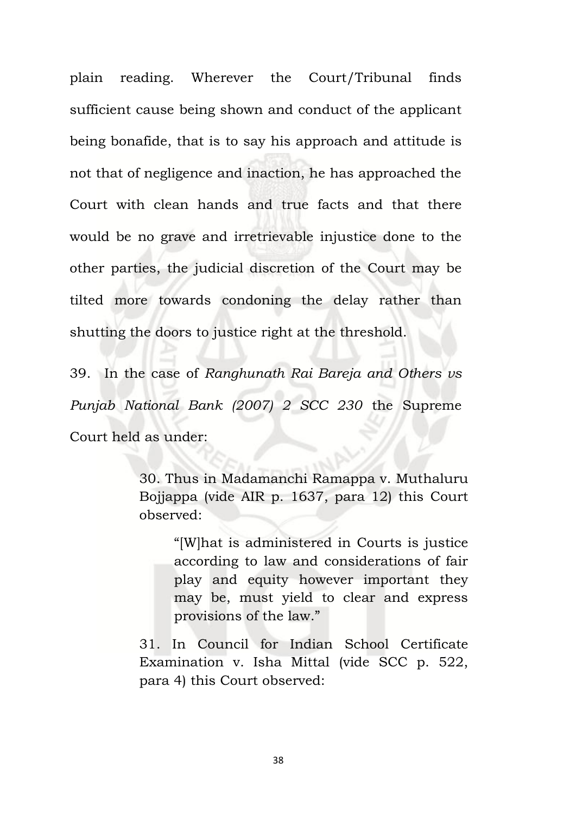plain reading. Wherever the Court/Tribunal finds sufficient cause being shown and conduct of the applicant being bonafide, that is to say his approach and attitude is not that of negligence and inaction, he has approached the Court with clean hands and true facts and that there would be no grave and irretrievable injustice done to the other parties, the judicial discretion of the Court may be tilted more towards condoning the delay rather than shutting the doors to justice right at the threshold.

39. In the case of *Ranghunath Rai Bareja and Others vs Punjab National Bank (2007) 2 SCC 230* the Supreme Court held as under:

> 30. Thus in Madamanchi Ramappa v. Muthaluru Bojjappa (vide AIR p. 1637, para 12) this Court observed:

"[W]hat is administered in Courts is justice according to law and considerations of fair play and equity however important they may be, must yield to clear and express provisions of the law."

31. In Council for Indian School Certificate Examination v. Isha Mittal (vide SCC p. 522, para 4) this Court observed: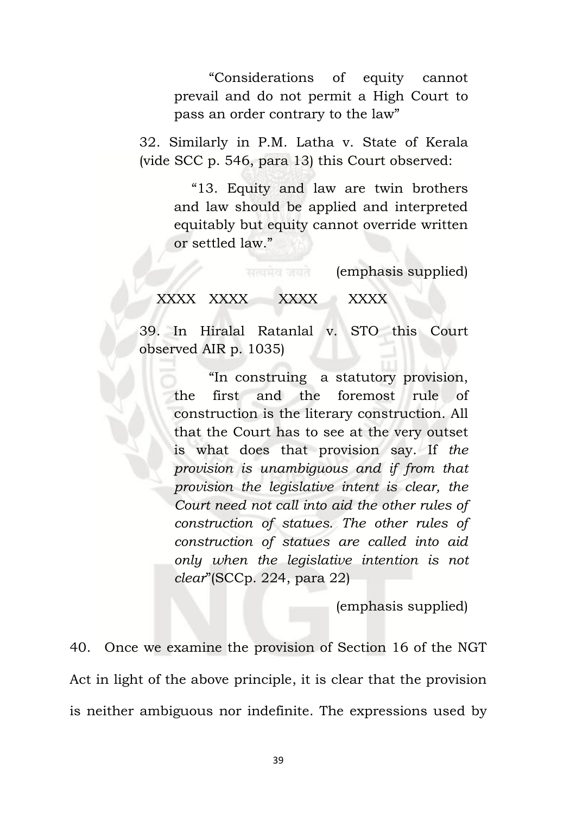"Considerations of equity cannot prevail and do not permit a High Court to pass an order contrary to the law"

32. Similarly in P.M. Latha v. State of Kerala (vide SCC p. 546, para 13) this Court observed:

> "13. Equity and law are twin brothers and law should be applied and interpreted equitably but equity cannot override written or settled law."

> > (emphasis supplied)

### XXXX XXXX XXXX XXXX

39. In Hiralal Ratanlal v. STO this Court observed AIR p. 1035)

> "In construing a statutory provision, the first and the foremost rule of construction is the literary construction. All that the Court has to see at the very outset is what does that provision say. If *the provision is unambiguous and if from that provision the legislative intent is clear, the Court need not call into aid the other rules of construction of statues. The other rules of construction of statues are called into aid only when the legislative intention is not clear*"(SCCp. 224, para 22)

> > (emphasis supplied)

40. Once we examine the provision of Section 16 of the NGT Act in light of the above principle, it is clear that the provision is neither ambiguous nor indefinite. The expressions used by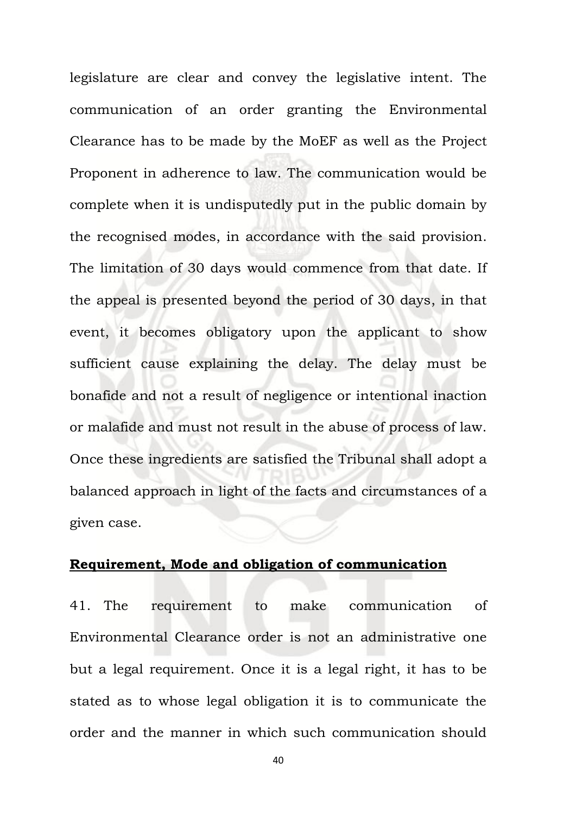legislature are clear and convey the legislative intent. The communication of an order granting the Environmental Clearance has to be made by the MoEF as well as the Project Proponent in adherence to law. The communication would be complete when it is undisputedly put in the public domain by the recognised modes, in accordance with the said provision. The limitation of 30 days would commence from that date. If the appeal is presented beyond the period of 30 days, in that event, it becomes obligatory upon the applicant to show sufficient cause explaining the delay. The delay must be bonafide and not a result of negligence or intentional inaction or malafide and must not result in the abuse of process of law. Once these ingredients are satisfied the Tribunal shall adopt a balanced approach in light of the facts and circumstances of a given case.

#### **Requirement, Mode and obligation of communication**

41. The requirement to make communication of Environmental Clearance order is not an administrative one but a legal requirement. Once it is a legal right, it has to be stated as to whose legal obligation it is to communicate the order and the manner in which such communication should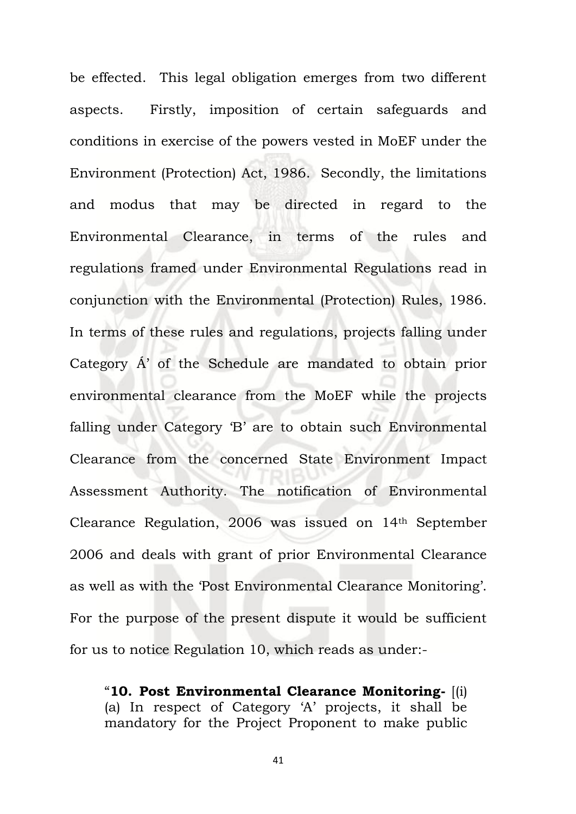be effected. This legal obligation emerges from two different aspects. Firstly, imposition of certain safeguards and conditions in exercise of the powers vested in MoEF under the Environment (Protection) Act, 1986. Secondly, the limitations and modus that may be directed in regard to the Environmental Clearance, in terms of the rules and regulations framed under Environmental Regulations read in conjunction with the Environmental (Protection) Rules, 1986. In terms of these rules and regulations, projects falling under Category Á' of the Schedule are mandated to obtain prior environmental clearance from the MoEF while the projects falling under Category 'B' are to obtain such Environmental Clearance from the concerned State Environment Impact Assessment Authority. The notification of Environmental Clearance Regulation, 2006 was issued on 14th September 2006 and deals with grant of prior Environmental Clearance as well as with the 'Post Environmental Clearance Monitoring'. For the purpose of the present dispute it would be sufficient for us to notice Regulation 10, which reads as under:-

"**10. Post Environmental Clearance Monitoring-** [(i) (a) In respect of Category 'A' projects, it shall be mandatory for the Project Proponent to make public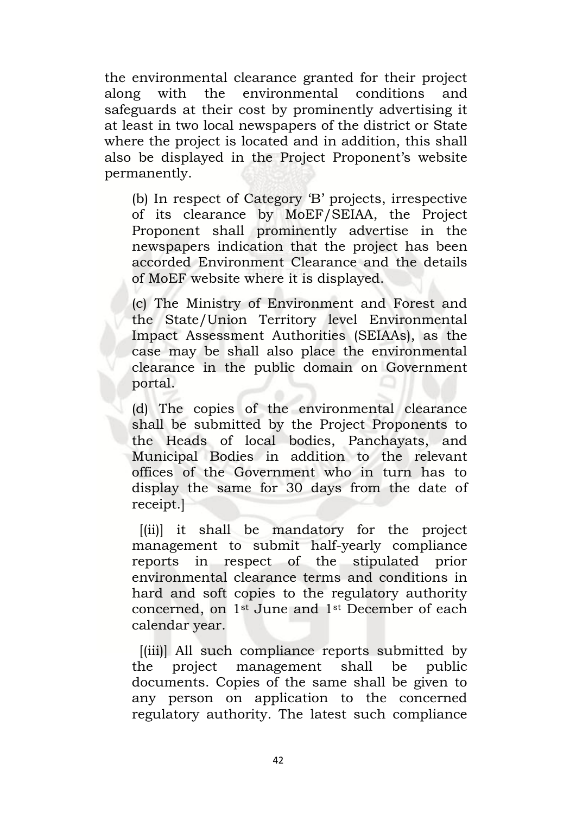the environmental clearance granted for their project along with the environmental conditions and safeguards at their cost by prominently advertising it at least in two local newspapers of the district or State where the project is located and in addition, this shall also be displayed in the Project Proponent's website permanently.

(b) In respect of Category 'B' projects, irrespective of its clearance by MoEF/SEIAA, the Project Proponent shall prominently advertise in the newspapers indication that the project has been accorded Environment Clearance and the details of MoEF website where it is displayed.

(c) The Ministry of Environment and Forest and the State/Union Territory level Environmental Impact Assessment Authorities (SEIAAs), as the case may be shall also place the environmental clearance in the public domain on Government portal.

(d) The copies of the environmental clearance shall be submitted by the Project Proponents to the Heads of local bodies, Panchayats, and Municipal Bodies in addition to the relevant offices of the Government who in turn has to display the same for 30 days from the date of receipt.]

[(ii)] it shall be mandatory for the project management to submit half-yearly compliance reports in respect of the stipulated prior environmental clearance terms and conditions in hard and soft copies to the regulatory authority concerned, on 1st June and 1st December of each calendar year.

[(iii)] All such compliance reports submitted by the project management shall be public documents. Copies of the same shall be given to any person on application to the concerned regulatory authority. The latest such compliance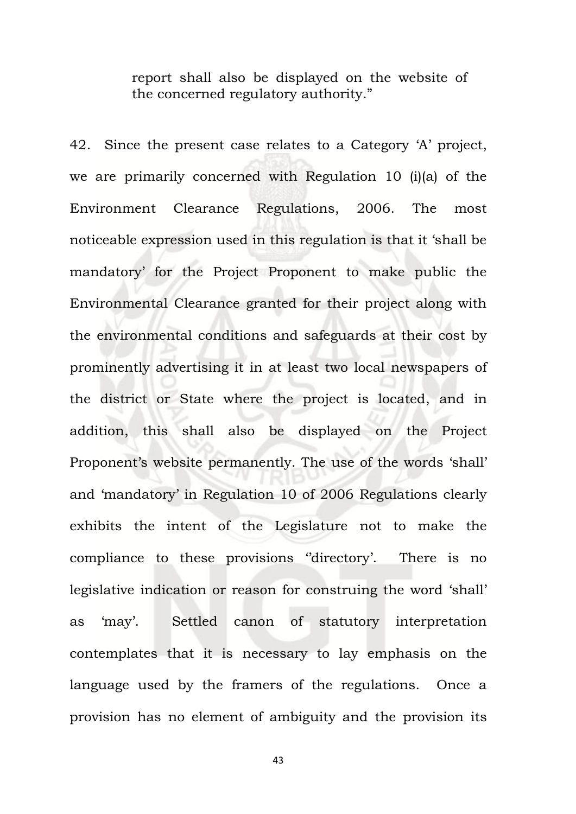report shall also be displayed on the website of the concerned regulatory authority."

42. Since the present case relates to a Category 'A' project, we are primarily concerned with Regulation 10 (i)(a) of the Environment Clearance Regulations, 2006. The most noticeable expression used in this regulation is that it 'shall be mandatory' for the Project Proponent to make public the Environmental Clearance granted for their project along with the environmental conditions and safeguards at their cost by prominently advertising it in at least two local newspapers of the district or State where the project is located, and in addition, this shall also be displayed on the Project Proponent's website permanently. The use of the words 'shall' and 'mandatory' in Regulation 10 of 2006 Regulations clearly exhibits the intent of the Legislature not to make the compliance to these provisions ''directory'. There is no legislative indication or reason for construing the word 'shall' as 'may'. Settled canon of statutory interpretation contemplates that it is necessary to lay emphasis on the language used by the framers of the regulations. Once a provision has no element of ambiguity and the provision its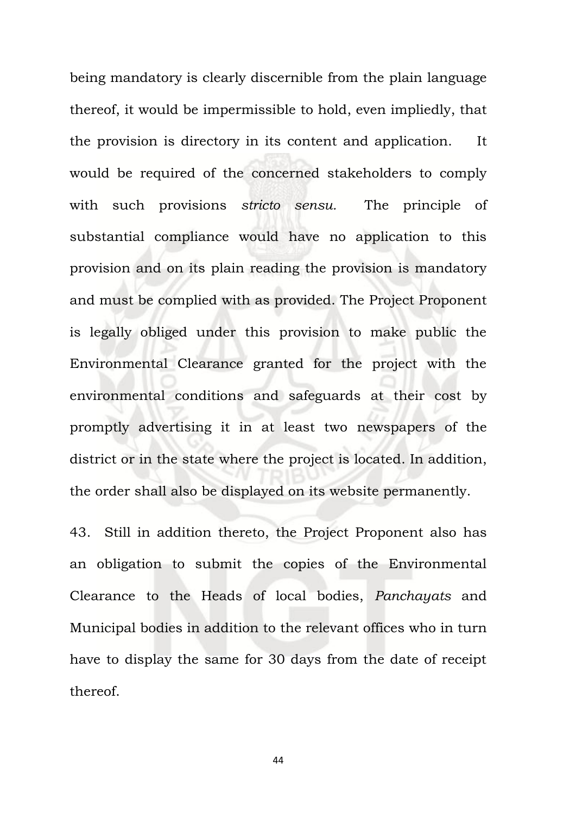being mandatory is clearly discernible from the plain language thereof, it would be impermissible to hold, even impliedly, that the provision is directory in its content and application. It would be required of the concerned stakeholders to comply with such provisions *stricto sensu.* The principle of substantial compliance would have no application to this provision and on its plain reading the provision is mandatory and must be complied with as provided. The Project Proponent is legally obliged under this provision to make public the Environmental Clearance granted for the project with the environmental conditions and safeguards at their cost by promptly advertising it in at least two newspapers of the district or in the state where the project is located. In addition, the order shall also be displayed on its website permanently.

43. Still in addition thereto, the Project Proponent also has an obligation to submit the copies of the Environmental Clearance to the Heads of local bodies, *Panchayats* and Municipal bodies in addition to the relevant offices who in turn have to display the same for 30 days from the date of receipt thereof.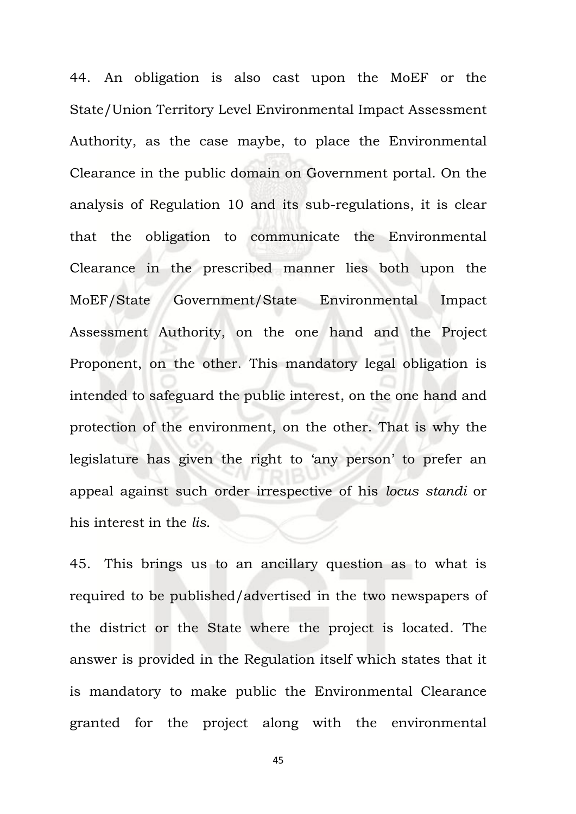44. An obligation is also cast upon the MoEF or the State/Union Territory Level Environmental Impact Assessment Authority, as the case maybe, to place the Environmental Clearance in the public domain on Government portal. On the analysis of Regulation 10 and its sub-regulations, it is clear that the obligation to communicate the Environmental Clearance in the prescribed manner lies both upon the MoEF/State Government/State Environmental Impact Assessment Authority, on the one hand and the Project Proponent, on the other. This mandatory legal obligation is intended to safeguard the public interest, on the one hand and protection of the environment, on the other. That is why the legislature has given the right to 'any person' to prefer an appeal against such order irrespective of his *locus standi* or his interest in the *lis*.

45. This brings us to an ancillary question as to what is required to be published/advertised in the two newspapers of the district or the State where the project is located. The answer is provided in the Regulation itself which states that it is mandatory to make public the Environmental Clearance granted for the project along with the environmental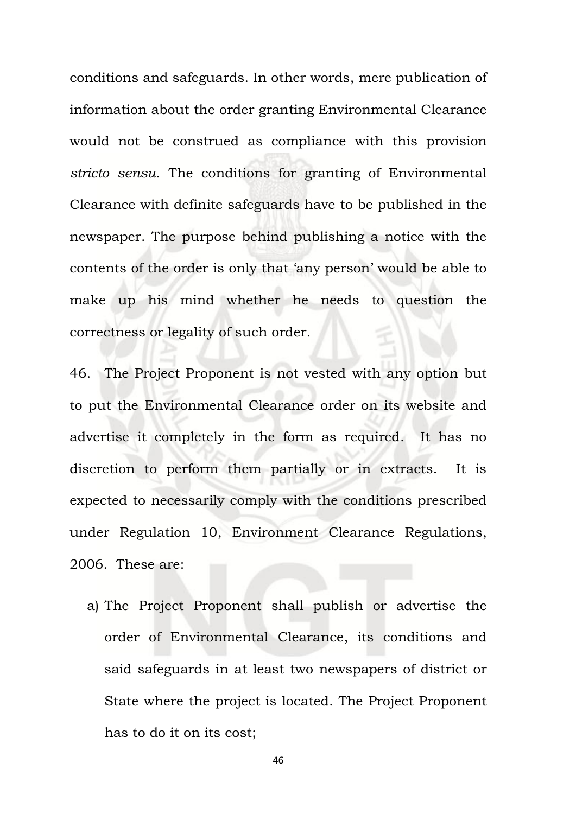conditions and safeguards. In other words, mere publication of information about the order granting Environmental Clearance would not be construed as compliance with this provision *stricto sensu*. The conditions for granting of Environmental Clearance with definite safeguards have to be published in the newspaper. The purpose behind publishing a notice with the contents of the order is only that 'any person' would be able to make up his mind whether he needs to question the correctness or legality of such order.

46. The Project Proponent is not vested with any option but to put the Environmental Clearance order on its website and advertise it completely in the form as required. It has no discretion to perform them partially or in extracts. It is expected to necessarily comply with the conditions prescribed under Regulation 10, Environment Clearance Regulations, 2006. These are:

a) The Project Proponent shall publish or advertise the order of Environmental Clearance, its conditions and said safeguards in at least two newspapers of district or State where the project is located. The Project Proponent has to do it on its cost;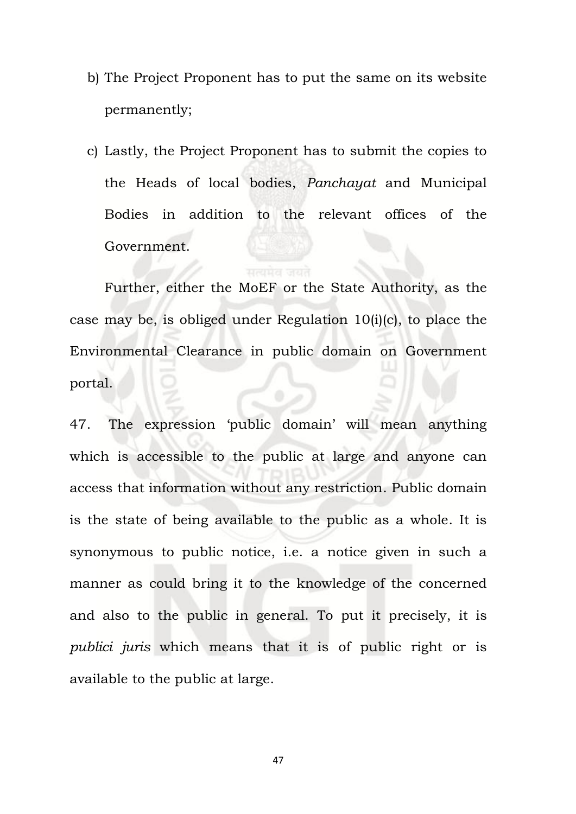- b) The Project Proponent has to put the same on its website permanently;
- c) Lastly, the Project Proponent has to submit the copies to the Heads of local bodies, *Panchayat* and Municipal Bodies in addition to the relevant offices of the Government.

Further, either the MoEF or the State Authority, as the case may be, is obliged under Regulation 10(i)(c), to place the Environmental Clearance in public domain on Government portal.

47. The expression 'public domain' will mean anything which is accessible to the public at large and anyone can access that information without any restriction. Public domain is the state of being available to the public as a whole. It is synonymous to public notice, i.e. a notice given in such a manner as could bring it to the knowledge of the concerned and also to the public in general. To put it precisely, it is *publici juris* which means that it is of public right or is available to the public at large.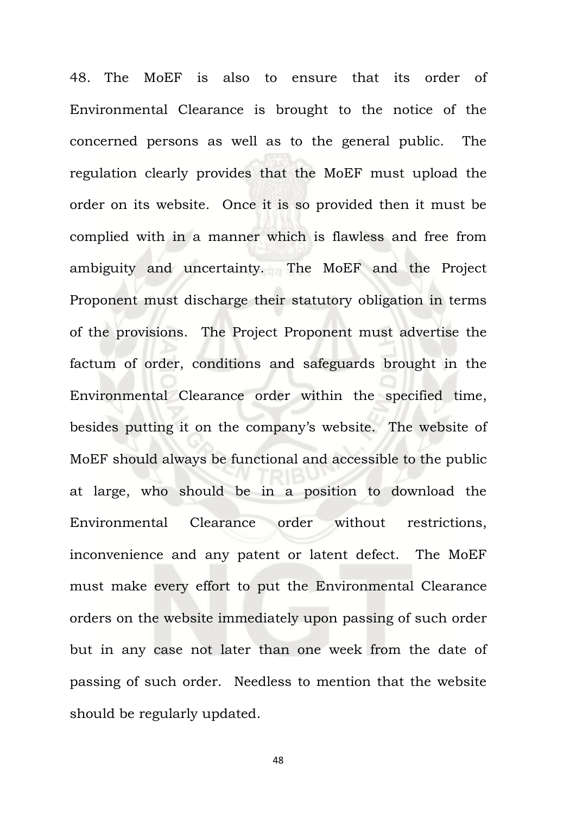48. The MoEF is also to ensure that its order of Environmental Clearance is brought to the notice of the concerned persons as well as to the general public. The regulation clearly provides that the MoEF must upload the order on its website. Once it is so provided then it must be complied with in a manner which is flawless and free from ambiguity and uncertainty. The MoEF and the Project Proponent must discharge their statutory obligation in terms of the provisions. The Project Proponent must advertise the factum of order, conditions and safeguards brought in the Environmental Clearance order within the specified time, besides putting it on the company's website. The website of MoEF should always be functional and accessible to the public at large, who should be in a position to download the Environmental Clearance order without restrictions, inconvenience and any patent or latent defect. The MoEF must make every effort to put the Environmental Clearance orders on the website immediately upon passing of such order but in any case not later than one week from the date of passing of such order. Needless to mention that the website should be regularly updated.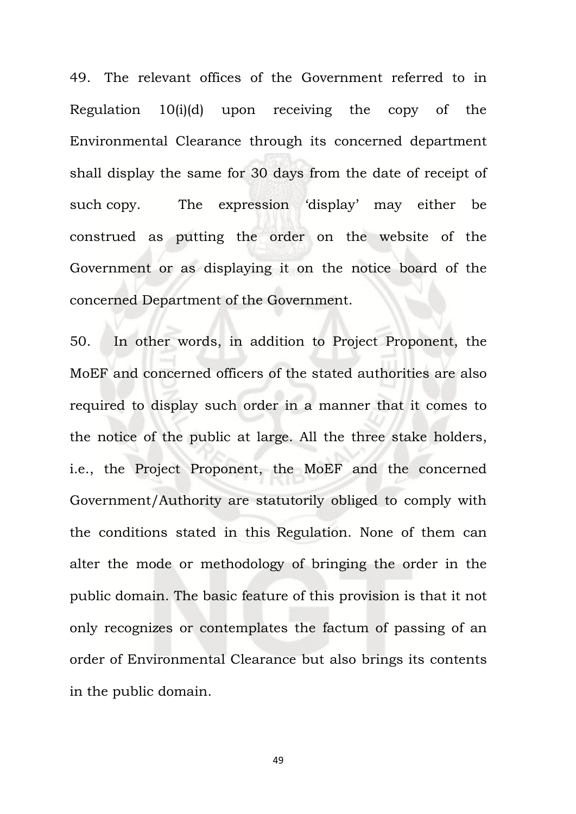49. The relevant offices of the Government referred to in Regulation 10(i)(d) upon receiving the copy of the Environmental Clearance through its concerned department shall display the same for 30 days from the date of receipt of such copy. The expression 'display' may either be construed as putting the order on the website of the Government or as displaying it on the notice board of the concerned Department of the Government.

50. In other words, in addition to Project Proponent, the MoEF and concerned officers of the stated authorities are also required to display such order in a manner that it comes to the notice of the public at large. All the three stake holders, i.e., the Project Proponent, the MoEF and the concerned Government/Authority are statutorily obliged to comply with the conditions stated in this Regulation. None of them can alter the mode or methodology of bringing the order in the public domain. The basic feature of this provision is that it not only recognizes or contemplates the factum of passing of an order of Environmental Clearance but also brings its contents in the public domain.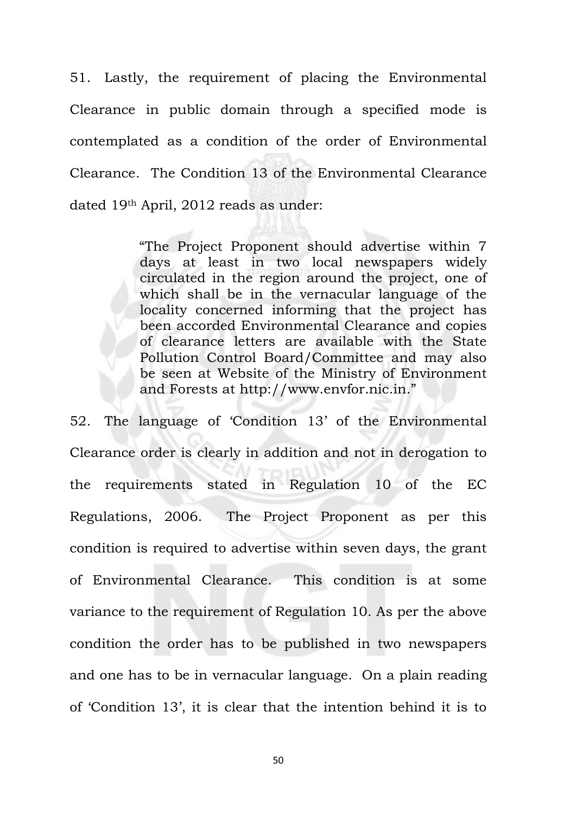51. Lastly, the requirement of placing the Environmental Clearance in public domain through a specified mode is contemplated as a condition of the order of Environmental Clearance. The Condition 13 of the Environmental Clearance dated 19th April, 2012 reads as under:

> "The Project Proponent should advertise within 7 days at least in two local newspapers widely circulated in the region around the project, one of which shall be in the vernacular language of the locality concerned informing that the project has been accorded Environmental Clearance and copies of clearance letters are available with the State Pollution Control Board/Committee and may also be seen at Website of the Ministry of Environment and Forests at [http://www.envfor.nic.in.](http://www.envfor.nic.in/)"

52. The language of 'Condition 13' of the Environmental Clearance order is clearly in addition and not in derogation to the requirements stated in Regulation 10 of the EC Regulations, 2006. The Project Proponent as per this condition is required to advertise within seven days, the grant of Environmental Clearance. This condition is at some variance to the requirement of Regulation 10. As per the above condition the order has to be published in two newspapers and one has to be in vernacular language. On a plain reading of 'Condition 13', it is clear that the intention behind it is to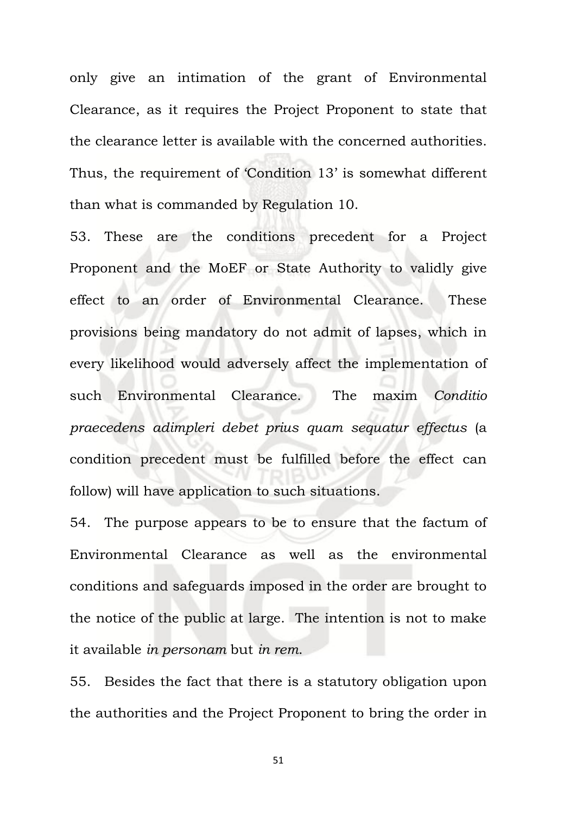only give an intimation of the grant of Environmental Clearance, as it requires the Project Proponent to state that the clearance letter is available with the concerned authorities. Thus, the requirement of 'Condition 13' is somewhat different than what is commanded by Regulation 10.

53. These are the conditions precedent for a Project Proponent and the MoEF or State Authority to validly give effect to an order of Environmental Clearance. These provisions being mandatory do not admit of lapses, which in every likelihood would adversely affect the implementation of such Environmental Clearance. The maxim *Conditio praecedens adimpleri debet prius quam sequatur effectus* (a condition precedent must be fulfilled before the effect can follow) will have application to such situations.

54. The purpose appears to be to ensure that the factum of Environmental Clearance as well as the environmental conditions and safeguards imposed in the order are brought to the notice of the public at large. The intention is not to make it available *in personam* but *in rem*.

55. Besides the fact that there is a statutory obligation upon the authorities and the Project Proponent to bring the order in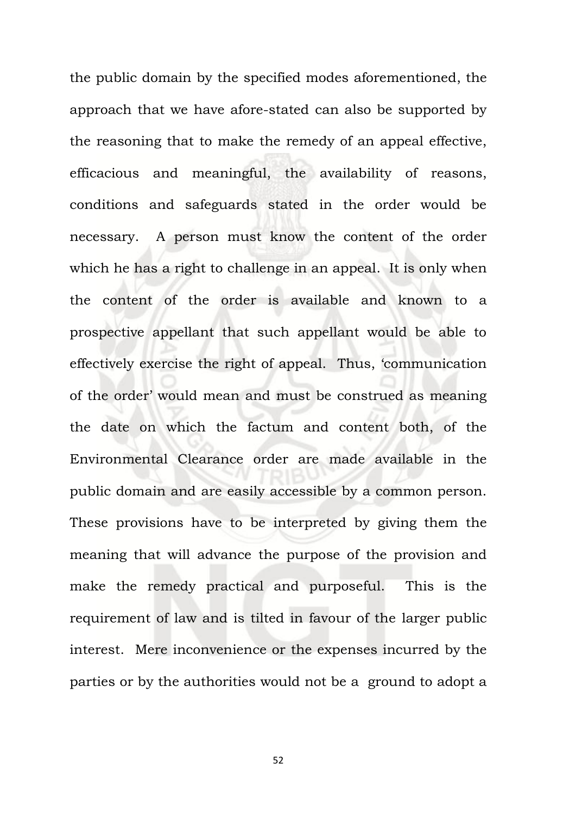the public domain by the specified modes aforementioned, the approach that we have afore-stated can also be supported by the reasoning that to make the remedy of an appeal effective, efficacious and meaningful, the availability of reasons, conditions and safeguards stated in the order would be necessary. A person must know the content of the order which he has a right to challenge in an appeal. It is only when the content of the order is available and known to a prospective appellant that such appellant would be able to effectively exercise the right of appeal. Thus, 'communication of the order' would mean and must be construed as meaning the date on which the factum and content both, of the Environmental Clearance order are made available in the public domain and are easily accessible by a common person. These provisions have to be interpreted by giving them the meaning that will advance the purpose of the provision and make the remedy practical and purposeful. This is the requirement of law and is tilted in favour of the larger public interest. Mere inconvenience or the expenses incurred by the parties or by the authorities would not be a ground to adopt a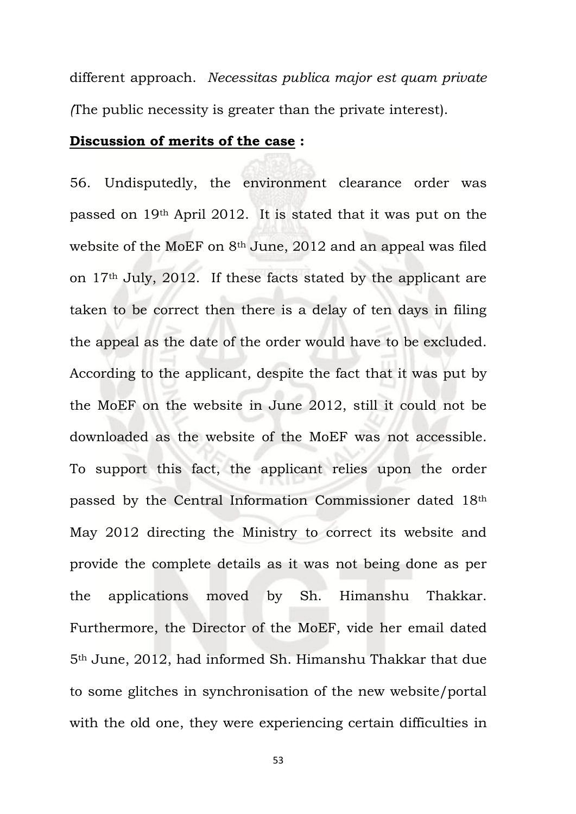different approach. *Necessitas publica major est quam private (*The public necessity is greater than the private interest).

#### **Discussion of merits of the case :**

56. Undisputedly, the environment clearance order was passed on 19th April 2012. It is stated that it was put on the website of the MoEF on 8th June, 2012 and an appeal was filed on 17th July, 2012. If these facts stated by the applicant are taken to be correct then there is a delay of ten days in filing the appeal as the date of the order would have to be excluded. According to the applicant, despite the fact that it was put by the MoEF on the website in June 2012, still it could not be downloaded as the website of the MoEF was not accessible. To support this fact, the applicant relies upon the order passed by the Central Information Commissioner dated 18th May 2012 directing the Ministry to correct its website and provide the complete details as it was not being done as per the applications moved by Sh. Himanshu Thakkar. Furthermore, the Director of the MoEF, vide her email dated 5th June, 2012, had informed Sh. Himanshu Thakkar that due to some glitches in synchronisation of the new website/portal with the old one, they were experiencing certain difficulties in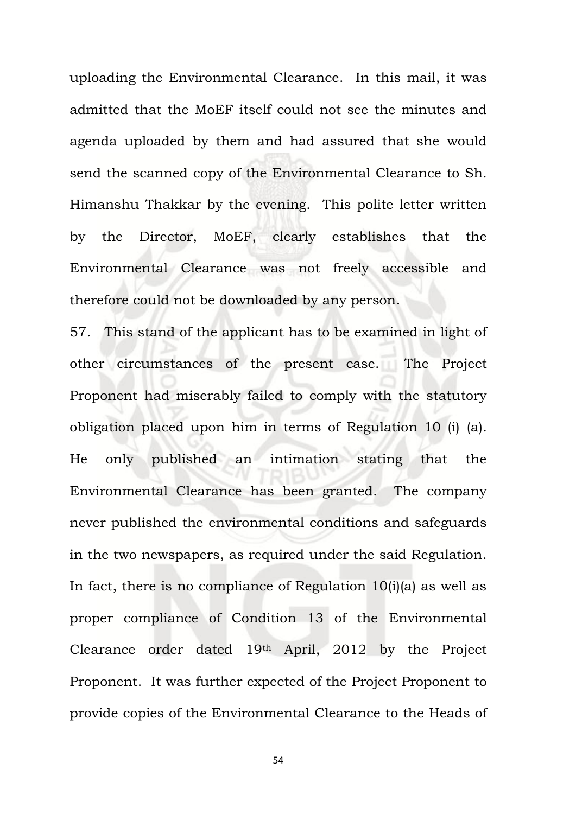uploading the Environmental Clearance. In this mail, it was admitted that the MoEF itself could not see the minutes and agenda uploaded by them and had assured that she would send the scanned copy of the Environmental Clearance to Sh. Himanshu Thakkar by the evening. This polite letter written by the Director, MoEF, clearly establishes that the Environmental Clearance was not freely accessible and therefore could not be downloaded by any person.

57. This stand of the applicant has to be examined in light of other circumstances of the present case. The Project Proponent had miserably failed to comply with the statutory obligation placed upon him in terms of Regulation 10 (i) (a). He only published an intimation stating that the Environmental Clearance has been granted. The company never published the environmental conditions and safeguards in the two newspapers, as required under the said Regulation. In fact, there is no compliance of Regulation 10(i)(a) as well as proper compliance of Condition 13 of the Environmental Clearance order dated 19th April, 2012 by the Project Proponent. It was further expected of the Project Proponent to provide copies of the Environmental Clearance to the Heads of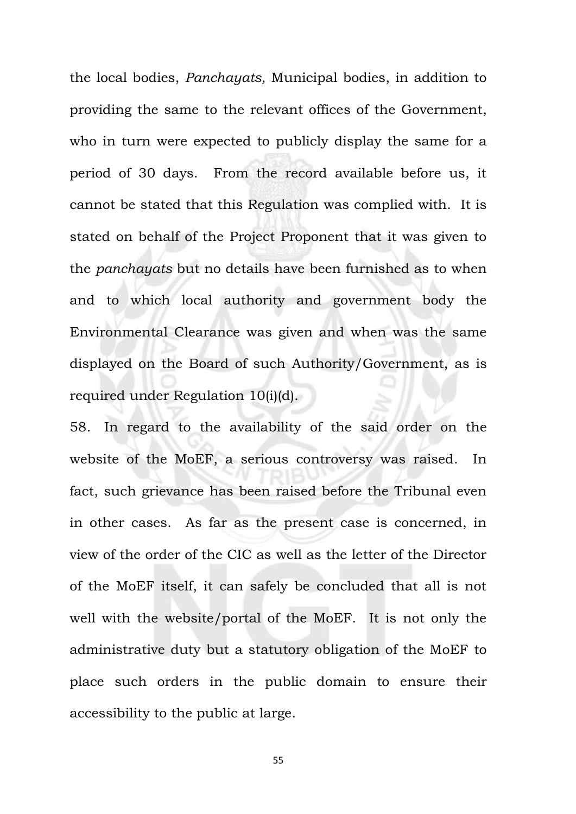the local bodies, *Panchayats,* Municipal bodies, in addition to providing the same to the relevant offices of the Government, who in turn were expected to publicly display the same for a period of 30 days. From the record available before us, it cannot be stated that this Regulation was complied with. It is stated on behalf of the Project Proponent that it was given to the *panchayats* but no details have been furnished as to when and to which local authority and government body the Environmental Clearance was given and when was the same displayed on the Board of such Authority/Government, as is required under Regulation 10(i)(d).

58. In regard to the availability of the said order on the website of the MoEF, a serious controversy was raised. In fact, such grievance has been raised before the Tribunal even in other cases. As far as the present case is concerned, in view of the order of the CIC as well as the letter of the Director of the MoEF itself, it can safely be concluded that all is not well with the website/portal of the MoEF. It is not only the administrative duty but a statutory obligation of the MoEF to place such orders in the public domain to ensure their accessibility to the public at large.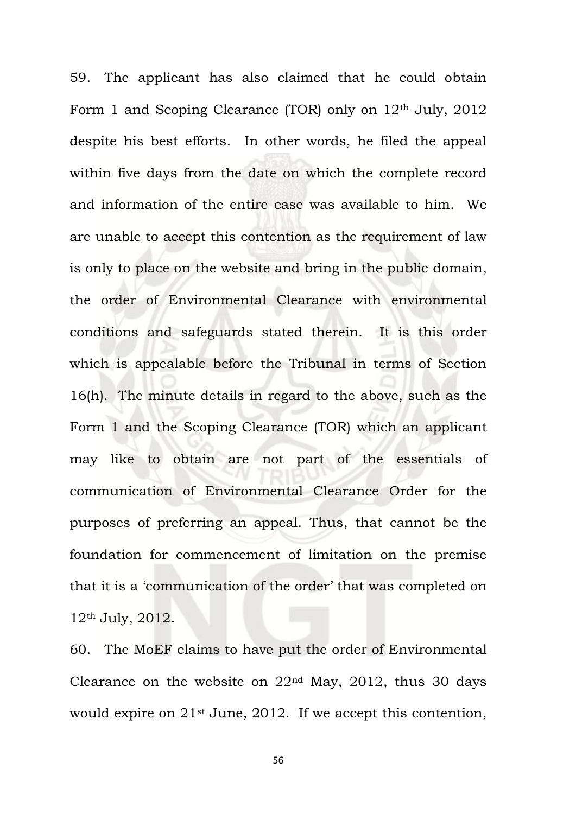59. The applicant has also claimed that he could obtain Form 1 and Scoping Clearance (TOR) only on  $12<sup>th</sup>$  July, 2012 despite his best efforts. In other words, he filed the appeal within five days from the date on which the complete record and information of the entire case was available to him. We are unable to accept this contention as the requirement of law is only to place on the website and bring in the public domain, the order of Environmental Clearance with environmental conditions and safeguards stated therein. It is this order which is appealable before the Tribunal in terms of Section 16(h). The minute details in regard to the above, such as the Form 1 and the Scoping Clearance (TOR) which an applicant may like to obtain are not part of the essentials of communication of Environmental Clearance Order for the purposes of preferring an appeal. Thus, that cannot be the foundation for commencement of limitation on the premise that it is a 'communication of the order' that was completed on 12th July, 2012.

60. The MoEF claims to have put the order of Environmental Clearance on the website on  $22<sup>nd</sup>$  May,  $2012$ , thus 30 days would expire on 21<sup>st</sup> June, 2012. If we accept this contention,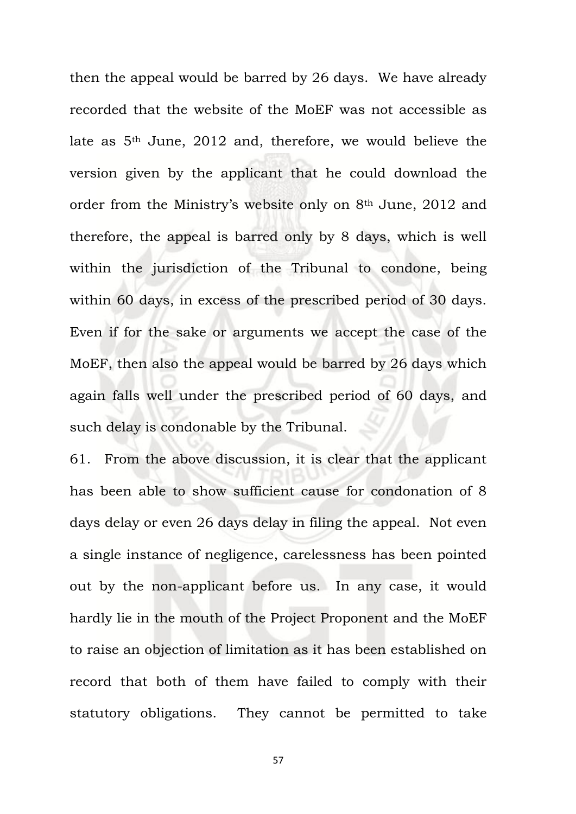then the appeal would be barred by 26 days. We have already recorded that the website of the MoEF was not accessible as late as 5th June, 2012 and, therefore, we would believe the version given by the applicant that he could download the order from the Ministry's website only on 8th June, 2012 and therefore, the appeal is barred only by 8 days, which is well within the jurisdiction of the Tribunal to condone, being within 60 days, in excess of the prescribed period of 30 days. Even if for the sake or arguments we accept the case of the MoEF, then also the appeal would be barred by 26 days which again falls well under the prescribed period of 60 days, and such delay is condonable by the Tribunal.

61. From the above discussion, it is clear that the applicant has been able to show sufficient cause for condonation of 8 days delay or even 26 days delay in filing the appeal. Not even a single instance of negligence, carelessness has been pointed out by the non-applicant before us. In any case, it would hardly lie in the mouth of the Project Proponent and the MoEF to raise an objection of limitation as it has been established on record that both of them have failed to comply with their statutory obligations. They cannot be permitted to take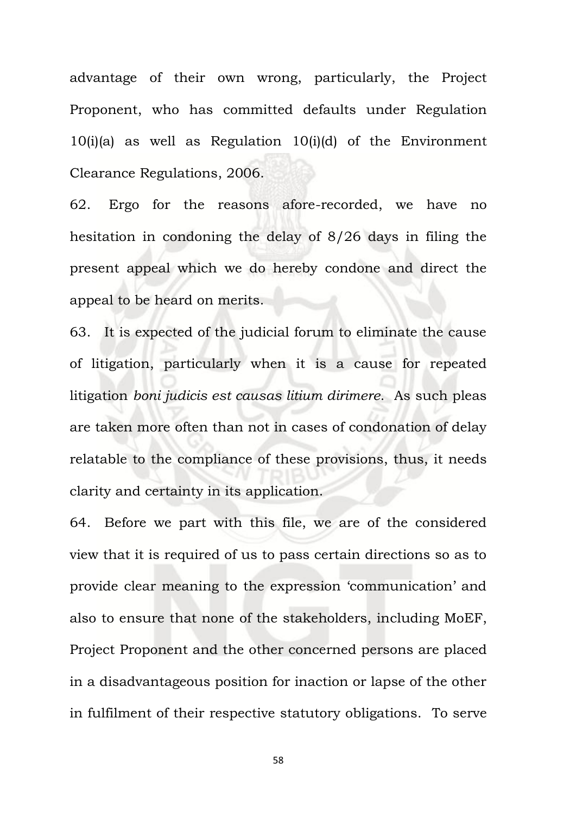advantage of their own wrong, particularly, the Project Proponent, who has committed defaults under Regulation 10(i)(a) as well as Regulation 10(i)(d) of the Environment Clearance Regulations, 2006.

62. Ergo for the reasons afore-recorded, we have no hesitation in condoning the delay of 8/26 days in filing the present appeal which we do hereby condone and direct the appeal to be heard on merits.

63. It is expected of the judicial forum to eliminate the cause of litigation, particularly when it is a cause for repeated litigation *boni judicis est causas litium dirimere*. As such pleas are taken more often than not in cases of condonation of delay relatable to the compliance of these provisions, thus, it needs clarity and certainty in its application.

64. Before we part with this file, we are of the considered view that it is required of us to pass certain directions so as to provide clear meaning to the expression 'communication' and also to ensure that none of the stakeholders, including MoEF, Project Proponent and the other concerned persons are placed in a disadvantageous position for inaction or lapse of the other in fulfilment of their respective statutory obligations. To serve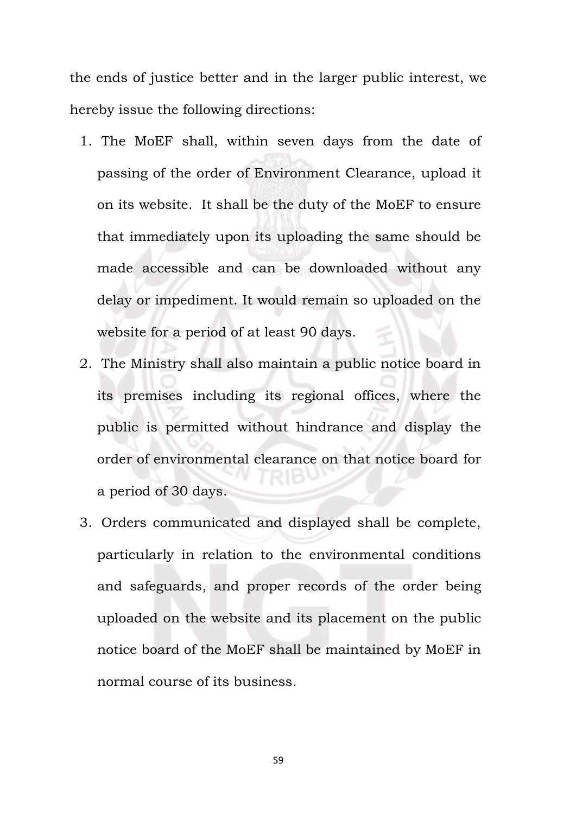the ends of justice better and in the larger public interest, we hereby issue the following directions:

- 1. The MoEF shall, within seven days from the date of passing of the order of Environment Clearance, upload it on its website. It shall be the duty of the MoEF to ensure that immediately upon its uploading the same should be made accessible and can be downloaded without any delay or impediment. It would remain so uploaded on the website for a period of at least 90 days.
- 2. The Ministry shall also maintain a public notice board in its premises including its regional offices, where the public is permitted without hindrance and display the order of environmental clearance on that notice board for a period of 30 days.
- 3. Orders communicated and displayed shall be complete, particularly in relation to the environmental conditions and safeguards, and proper records of the order being uploaded on the website and its placement on the public notice board of the MoEF shall be maintained by MoEF in normal course of its business.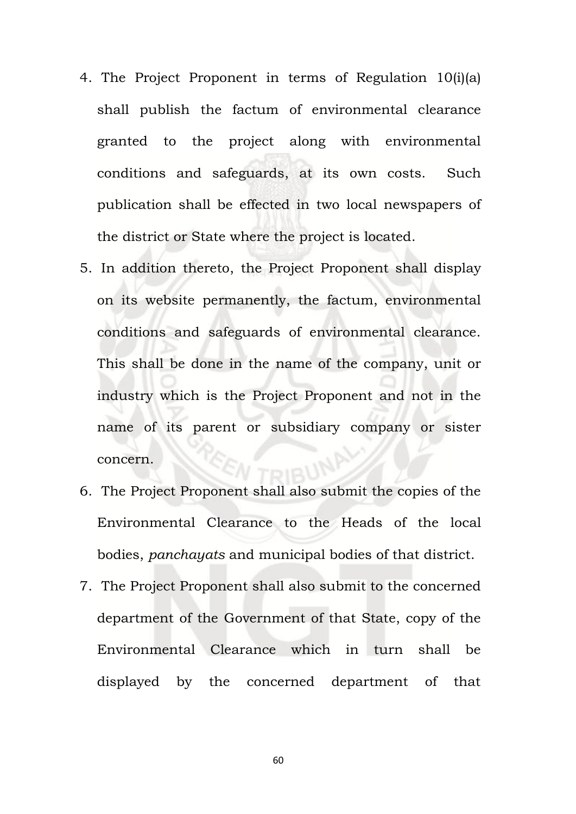- 4. The Project Proponent in terms of Regulation 10(i)(a) shall publish the factum of environmental clearance granted to the project along with environmental conditions and safeguards, at its own costs. Such publication shall be effected in two local newspapers of the district or State where the project is located.
- 5. In addition thereto, the Project Proponent shall display on its website permanently, the factum, environmental conditions and safeguards of environmental clearance. This shall be done in the name of the company, unit or industry which is the Project Proponent and not in the name of its parent or subsidiary company or sister concern.
- 6. The Project Proponent shall also submit the copies of the Environmental Clearance to the Heads of the local bodies, *panchayats* and municipal bodies of that district.
- 7. The Project Proponent shall also submit to the concerned department of the Government of that State, copy of the Environmental Clearance which in turn shall be displayed by the concerned department of that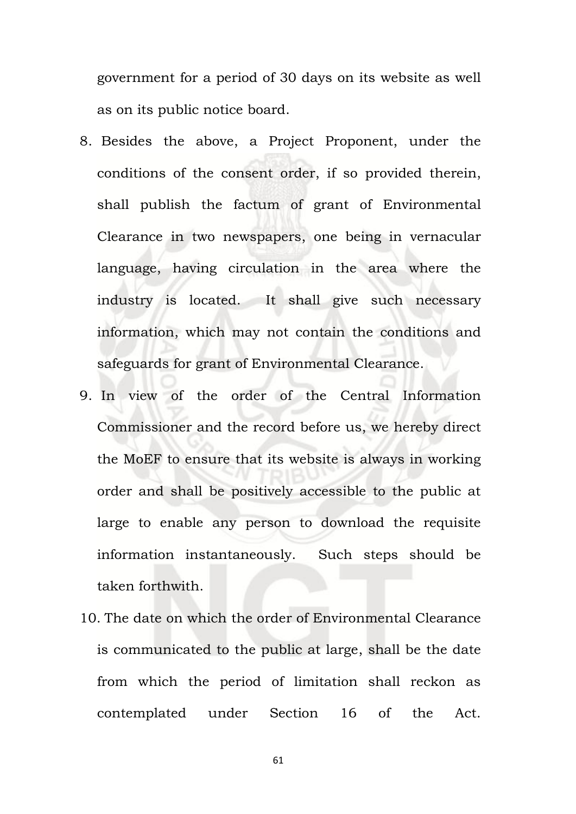government for a period of 30 days on its website as well as on its public notice board.

- 8. Besides the above, a Project Proponent, under the conditions of the consent order, if so provided therein, shall publish the factum of grant of Environmental Clearance in two newspapers, one being in vernacular language, having circulation in the area where the industry is located. It shall give such necessary information, which may not contain the conditions and safeguards for grant of Environmental Clearance.
- 9. In view of the order of the Central Information Commissioner and the record before us, we hereby direct the MoEF to ensure that its website is always in working order and shall be positively accessible to the public at large to enable any person to download the requisite information instantaneously. Such steps should be taken forthwith.
- 10. The date on which the order of Environmental Clearance is communicated to the public at large, shall be the date from which the period of limitation shall reckon as contemplated under Section 16 of the Act.